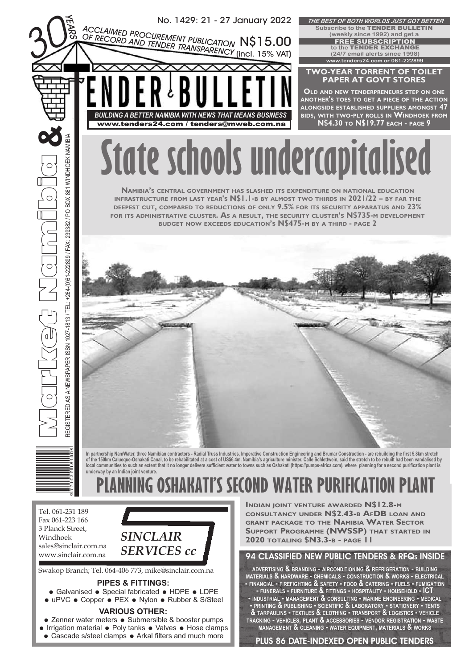

- Galvanised Special fabricated HDPE LDPE
- uPVC Copper PEX Nylon Rubber & S/Steel

## **VARIOUS OTHER:**

- Zenner water meters Submersible & booster pumps
- Irrigation material Poly tanks Valves Hose clamps
- Cascade s/steel clamps Arkal filters and much more

**SUPPORT PROGRAMME (NWSSP) THAT STARTED IN**

## 94 CLASSIFIED NEW PUBLIC TENDERS & RFQ<sub>S</sub> INSIDE

**ADVERTISING & BRANDING - AIRCONDITIONING & REFRIGERATION - BUILDING MATERIALS & HARDWARE - CHEMICALS - CONSTRUCTION & WORKS - ELECTRICAL - FINANCIAL - FIREFIGHTING & SAFETY - FOOD & CATERING - FUELS - FUMIGATION - FUNERALS - FURNITURE & FITTINGS - HOSPITALITY - HOUSEHOLD - ICT - INDUSTRIAL - MANAGEMENT & CONSULTING - MARINE ENGINEERING - MEDICAL - PRINTING & PUBLISHING - SCIENTIFIC & LABORATORY - STATIONERY - TENTS & TARPAULINS - TEXTILES & CLOTHING - TRANSPORT & LOGISTICS - VEHICLE TRACKING - VEHICLES, PLANT & ACCESSORIES - VENDOR REGISTRATION - WASTE MANAGEMENT & CLEANING - WATER EQUIPMENT, MATERIALS & WORKS**

PLUS 86 DATE-INDEXED OPEN PUBLIC TENDERS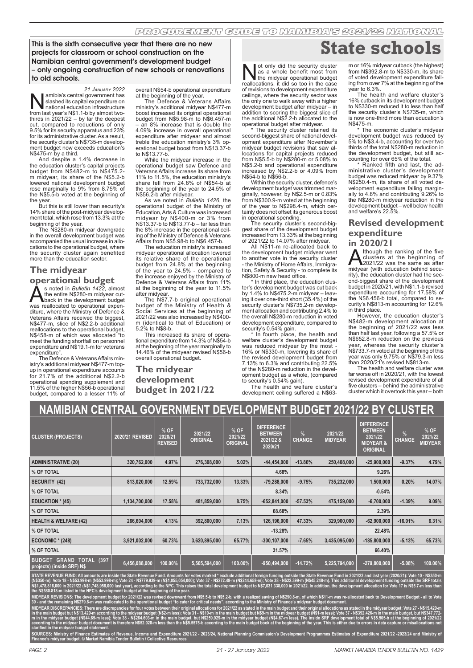This is the sixth consecutive year that there are no new projects for classroom or school construction on the Namibian central government's development budget – only ongoing construction of new schools or renovations to old schools.

*21 JANUARY 2022* **Namibia's central government has slashed its capital expenditure on from last year's N\$1.1-b by almost two-**<br>from last year's N\$1.1-b by almost two-<br>thirds in 2021/22 – by far the deepest slashed its capital expenditure on national education infrastructure cut, compared to reductions of only 9.5% for its security apparatus and 23% for its administrative cluster. As a result, the security cluster's N\$735-m development budget now exceeds education's N\$475-m by a third.

And despite a 1.4% decrease in the education cluster's capital projects budget from N\$482-m to N\$475.2 m midyear, its share of the N\$5.2-b lowered national development budget rose marginally to 9% from 8.75% of the N\$5.5-b voted at the beginning of

the year. But this is still lower than security's 14% share of the post-midyear development total, which rose from 13.3% at the

beginning of the year. The N\$280-m midyear downgrade in the overall development budget was accompanied the usual increase in allocations to the operational budget, where the security cluster again benefited more than the education sector.

## **The midyear**

**operational budget**

S noted in *Bulletin 1422*, almost<br>the entire N\$280-m midyear cut-<br>was reallocated to onerational expenthe entire N\$280-m midyear cutback in the development budget was reallocated to operational expenditure, where the Ministry of Defence & Veterans Affairs received the biggest, N\$477-m, slice of N\$2.2-b additional reallocations to the operational budget, N\$458-m of which was allocated "to meet the funding shortfall on personnel expenditure and N\$19.1-m for veterans expenditure".

The Defence & Veterans Affairs ministry's additional midyear N\$477-m topup in operational expenditure accounts for 21.7% of the additional N\$2.2-b operational spending supplement and 11.5% of the higher N\$56-b operational budget, compared to a lesser 11% of

overall N\$54-b operational expenditure at the beginning of the year.

The Defence & Veterans Affairs ministry's additional midyear N\$477-m boost increased its original operational budget from N\$5.98-m to N\$6.457-m an 8% increase that is double the 4.09% increase in overall operational expenditure after midyear and almost treble the education ministry's 3% op-erational budget boost from N\$13.37-b to N\$13.77-b.

While the midyear increase in the operational budget saw Defence and Veterans Affairs increase its share from 11% to 11.5%, the education ministry's share fell from 24.8% of N\$54-b at the beginning of the year to 24.5% of N\$56.2-b after midyear.

As we noted in *Bulletin 1426*, the operational budget of the Ministry of Education, Arts & Culture was increased midyear by N\$400-m or 3% from N\$13.37-b to N\$13.77-b – far less than the 8% increase in the operational ceiling of the Ministry of Defence & Veterans Affairs from N\$5.98-b to N\$6.457-b.

The education ministry's increased midyear operational allocation lowered its relative share of the operational budget from 24.8% at the beginning of the year to 24.5% - compared to the increase enjoyed by the Ministry of Defence & Veterans Affairs from 11%

at the beginning of the year to 11.5% after midyear. The N\$7.7-b original operational budget of the Ministry of Health & Social Services at the beginning of 2021/22 was also increased by N\$400- m (identical to that of Education) or 5.2% to N\$8-b.

This increased its share of operational expenditure from 14.3% of N\$54-b at the beginning of the year marginally to 14.46% of the midyear revised N\$56-b overall operational budget.

**The midyear development budget in 2021/22**

Not only did the security cluster<br>as a whole benefit most from<br>reallocations it did so too in the case as a whole benefit most from the midyear operational budget reallocations, it did so too in the case of revisions to development expenditure ceilings, where the security sector was the only one to walk away with a higher development budget after midyear – in addition to scoring the biggest slice of the additional N\$2.2-b allocated to the operational budget after midyear.

\* The security cluster retained its second-biggest share of national development expenditure after November's midyear budget revisions that saw al-locations for capital projects reduced from N\$5.5-b by N\$280-m or 5.08% to N\$5.2-b and operational expenditure increased by N\$2.2-b or 4.09% from N\$54-b to N\$56-b.

Within the security cluster, defence's development budget was trimmed mar-ginally, however, by N\$2.5-m or 0.83% from N\$300.9-m voted at the beginning of the year to N\$298.4-m, which cer-tainly does not offset its generous boost in operational spending.

The security cluster's second-big-gest share of the development budget increased from 13.33% at the beginning of 2021/22 to 14.07% after midyear.

All N\$11-m re-allocated back to the development budget midyear went to another vote in the security cluster - the Ministry of Home Affairs, Immigra-tion, Safety & Security - to complete its N\$800-m new head office.

\* In third place, the education clus-ter's development budget was cut back by 1.4% to N\$475.2-m midyear – leaving it over one-third short (35.4%) of the security cluster's N\$735.2-m development allocation and contributing 2.4% to the overall N\$280-m reduction in voted development expenditure, compared to

security's 0.54% gain. \* In fourth place, the health and welfare cluster's development budget was reduced midvear by the most -16% or N\$330-m, lowering its share of the revised development budget from 7.13% to 6.3% and contributing 22.5% of the N\$280-m reduction in the development budget as a whole, (compared to security's 0.54% gain).

The health and welfare cluster's development ceiling suffered a N\$63-

# **State schools**

m or 16% midyear cutback (the highest) from N\$392.8-m to N\$330-m, its share of voted development expenditure falling from over 7% at the beginning of the year to 6.3%.

The health and welfare cluster's 16% cutback in its development budget to N\$330-m reduced it to less than half the security cluster's N\$735-m, which is now one-third more than education's N\$475-m.

The economic cluster's midyear development budget was reduced by 5% to N\$3.4-b, accounting for over two thirds of the total N\$280-m reduction in the development budget, but still ac-

counting for over 65% of the total. \* Ranked fifth and last, the administrative cluster's development budget was reduced midyear by 9.37% N\$250.4-m, its share of all voted development expenditure falling margin-ally to 4.8% and contributing 9.26% to the N\$280-m midyear reduction in the development budget – well below health and welfare's 22.5%.

## **Revised development expenditure**

**in 2020/21**<br>**A** Ithough the ranking of the five **Although the ranking of the five**<br>clusters at the beginning of<br>midvear (with education behind secuclusters at the beginning of 2021/22 was the same as after midyear (with education behind security), the education cluster had the sec-ond-biggest share of the development budget in 2020/21, with N\$1.1-b revised expenditure accounting for 17.58% of the N\$6.456-b total, compared to security's N\$813-m accounting for 12.6% in third place.

However, the education cluster's N\$482-m development allocation at the beginning of 2021/22 was less than half last year, following a 57.5% or N\$652.8-m reduction on the previous year, whereas the security cluster's N\$733.7-m voted at the beginning of this year was only 9.75% or N\$79.3-m less

than 2020/21's revised N\$813-m. The health and welfare cluster was far worse off in 2020/21, with the lowest revised development expenditure of all five clusters – behind the administrative cluster which it overtook this year – both

| <b>NAMIBIAN CENTRAL GOVERNMENT DEVELOPMENT BUDGET 2021/22 BY CLUSTER</b>                                                                                                                                                   |                 |                                   |                            |                                    |                                                             |                       |                           |                                                                                           |                    |                                   |
|----------------------------------------------------------------------------------------------------------------------------------------------------------------------------------------------------------------------------|-----------------|-----------------------------------|----------------------------|------------------------------------|-------------------------------------------------------------|-----------------------|---------------------------|-------------------------------------------------------------------------------------------|--------------------|-----------------------------------|
| <b>CLUSTER (PROJECTS)</b>                                                                                                                                                                                                  | 2020/21 REVISED | % OF<br>2020/21<br><b>REVISED</b> | 2021/22<br><b>ORIGINAL</b> | % OF<br>2021/22<br><b>ORIGINAL</b> | <b>DIFFERENCE</b><br><b>BETWEEN</b><br>2021/22 &<br>2020/21 | $\%$<br><b>CHANGE</b> | 2021/22<br><b>MIDYEAR</b> | <b>DIFFERENCE</b><br><b>BETWEEN</b><br>2021/22<br><b>MIDYEAR &amp;</b><br><b>ORIGINAL</b> | %<br><b>CHANGE</b> | % OF<br>2021/22<br><b>MIDYEAR</b> |
| <b>ADMINISTRATIVE (20)</b>                                                                                                                                                                                                 | 320,762,000     | 4.97%                             | 276,308,000                | 5.02%                              | $-44,454,000$                                               | $-13.86%$             | 250,408,000               | $-25,900,000$                                                                             | $-9.37%$           | 4.79%                             |
| % OF TOTAL                                                                                                                                                                                                                 |                 |                                   |                            |                                    | 4.68%                                                       |                       |                           | 9.26%                                                                                     |                    |                                   |
| SECURITY (42)                                                                                                                                                                                                              | 813,020,000     | 12.59%                            | 733,732,000                | 13.33%                             | $-79,288,000$                                               | $-9.75%$              | 735,232,000               | 1,500,000                                                                                 | 0.20%              | 14.07%                            |
| % OF TOTAL                                                                                                                                                                                                                 |                 |                                   |                            |                                    | 8.34%                                                       |                       |                           | $-0.54%$                                                                                  |                    |                                   |
| <b>EDUCATION * (45)</b>                                                                                                                                                                                                    | 1,134,700,000   | 17.58%                            | 481,859,000                | 8.75%                              | $-652,841,000$                                              | $-57.53%$             | 475,159,000               | $-6,700,000$                                                                              | $-1.39%$           | 9.09%                             |
| % OF TOTAL                                                                                                                                                                                                                 |                 |                                   |                            |                                    | 68.68%                                                      |                       |                           | 2.39%                                                                                     |                    |                                   |
| <b>HEALTH &amp; WELFARE (42)</b>                                                                                                                                                                                           | 266,604,000     | 4.13%                             | 392,800,000                | 7.13%                              | 126,196,000                                                 | 47.33%                | 329,900,000               | $-62,900,000$                                                                             | $-16.01%$          | 6.31%                             |
| % OF TOTAL                                                                                                                                                                                                                 |                 |                                   |                            |                                    | $-13.28%$                                                   |                       |                           | 22.48%                                                                                    |                    |                                   |
| ECONOMIC $*$ (248)                                                                                                                                                                                                         | 3,921,002,000   | 60.73%                            | 3,620,895,000              | 65,77%                             | $-300, 107, 000$                                            | $-7.65%$              | 3,435,095,000             | $-185,800,000$                                                                            | $-5.13%$           | 65.73%                            |
| % OF TOTAL                                                                                                                                                                                                                 |                 |                                   |                            |                                    | 31.57%                                                      |                       |                           | 66.40%                                                                                    |                    |                                   |
| <b>TOTAL (397</b><br><b>BUDGET</b><br><b>GRAND</b><br>projects) (inside SRF) N\$                                                                                                                                           | 6,456,088,000   | 100.00%                           | 5,505,594,000              | 100.00%                            | $-950,494,000$                                              | $-14.72%$             | 5,225,794,000             | $-279,800,000$                                                                            | $-5.08%$           | 100.00%                           |
| CTATE DEVENUE FUND, All agreeinta and includ the Ctate December Earnel Agreement for a color of a subject from the factor facility and include the Ctate December Cand in 0004/09 and last coasy (0000/04), Mate 40, NOCO. |                 |                                   |                            |                                    |                                                             |                       |                           |                                                                                           |                    |                                   |

**STATE REVENUE FUND: All amounts are inside the State Revenue Fund. Amounts for votes marked \* exclude additional foreign funding outside the State Revenue Fund in 2021/22 and last year (2020/21): Vote 10 - N\$350-m (N\$350-m); Vote 18 - N\$53.998-m (N\$53.998-m); Vote 24 - N\$779.939-m (N\$1,055,054,000); Vote 37 - N\$272.48-m (N\$244.658-m); Vote 38 - N\$22.399-m (N\$45.248-m). This additional development funding outside the SRF totals**  N\$1,478,816,000 in 2021/22 (N\$1,748,958,000 last year), according to the NPC. This raises the total development budget to N\$7,031,338,000 in 2021/22. In addition, the development allocation for Vote 17 is N\$5.7-m less than **the N\$580.818-m listed in the NPC's development budget at the beginning of the year.**

**MIDYEAR REVISIONS: The development budget for 2021/22 was revised downward from N\$5.5-b to N\$5.2-b, with a realized saving of N\$290.8-m, of which N\$11-m was re-allocated back to Development Budget - all to Vote 39 - and the remaining N\$279.8-m was reallocated to the operational budget "to cater for critical needs", according to the Ministry of Finance's midyear budget document.** 

MIDYEAR DISCREPANCIES: There are discrepancies for four votes between their original allocations for 2021/22 as stated in the main budget and their original allocations as stated in the midyear budget: Vote 27 - N\$15.429-m in the main budget but N\$13.429-m according to the midyear budget (N\$2-m less); Vote 31 - N\$10-m in the main budget but N\$9-m in the midyear budget (N\$1-m less); Vote 37 - N\$392.426-m in the main budget, but N\$347.772 **m in the midyear budget (N\$44.65-m less); Vote 38 - N\$264.603-m in the main budget, but N\$259.929-m in the midyear budget (N\$4.67-m less). The inside SRF development total of N\$5.505-b at the beginning of 2021/22**  according to the midyear budget document is therefore N\$52.028-m less than the N\$5.5575-b according to the main budget book at the beginning of the year. This is either due to errors in data capture or misallocations not **clarified in the midyear budget statement.**

ire 2021/22 - 2023/24, National Planning Commission's Development Programmes Estimates of Expenditure 2021/22 -2023/24 and Ministry o **Finance's midyear budget. © Market Namibia Tender Bulletin / Collective Resources**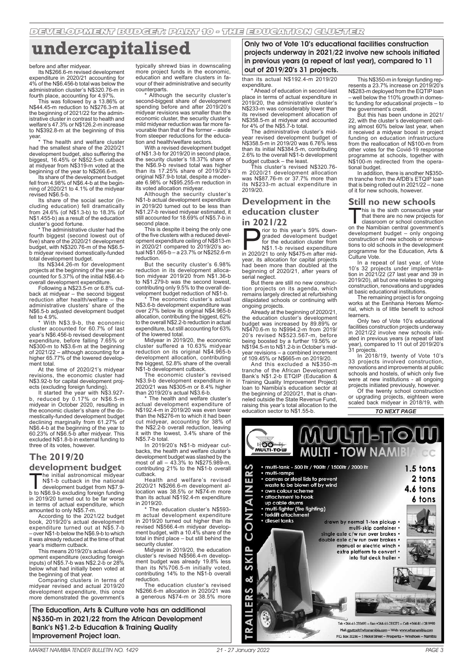## **undercapitalised**

#### before and after midyear.

Its N\$266.6-m revised development expenditure in 2020/21 accounting for 4% of the N\$6.456-b total was below the administration cluster's N\$320.76-m in fourth place, accounting for 4.97%.

This was followed by a 13.86% or N\$44.45-m reduction to N\$276.3-m at the beginning of 2021/22 for the administrative cluster in contrast to health and welfare's 47.3% or N\$126.2-m increase to N\$392.8-m at the beginning of this

year. \* The health and welfare cluster had the smallest share of the 2020/21 development budget, also suffering the biggest, 16.45% or N\$52.5-m cutback at midyear from N\$319-m voted at the beginning of the year to N\$266.6-m.

Its share of the development budget fell from 4.98% of N\$6.4-b at the beginning of 2020/21 to 4.1% of the midyear

revised N\$6.5-b. Its share of the social sector (in-cluding education) fell dramatically from 24.6% (of N\$1.3-b) to 18.3% (of N\$1.455-b) as a result of the education cluster's good fortune.

The administrative cluster had the fourth biggest (second lowest out of five) share of the 2020/21 development budget, with N\$320.76-m of the N\$6.5 b midyear revised domestically-funded

total development budget. Its N\$344.26-m for development projects at the beginning of the year ac-counted for 5.37% of the initial N\$6.4-b overall development expenditure.

Following a N\$23.5-m or 6.8% cut-back at midyear – the second biggest reduction after health/welfare – the administrative clusters' share of the N\$6.5-b adjusted development budget

fell to 4.9%. \* With N\$3.9-b, the economic cluster accounted for 60.7% of last year's N\$6.456-b revised development expenditure, before falling 7.65% or N\$300-m to N\$3.6-m at the beginning of 2021/22 – although accounting for a higher 65.77% of the lowered development total

At the time of 2020/21's midyear revisions, the economic cluster had N\$3.92-b for capital development projects (excluding foreign funding).

It started the year with N\$3.927- b, reduced by 0.17% or N\$6.5-m midyear in October 2020, resulting in the economic cluster's share of the domestically-funded development budget declining marginally from 61.27% of N\$6.4-b at the beginning of the year to 60.23% of N\$6.5-b after midyear. This excluded N\$1.8-b in external funding to three of its votes, however.

## **The 2019/20**

## **development budget**

The initial astronomical midyear<br>N\$1-b cutback in the national<br>development budget from N\$7.9-<br>h excluding foreign funding N\$1-b cutback in the national development budget from N\$7.9 b to N\$6.9-b excluding foreign funding in 2019/20 turned out to be far worse

in terms of actual expenditure, which amounted to only N\$5.7-m. According to the 2021/22 budget book, 2019/20's actual development expenditure turned out at N\$5.7-b – over N\$1-b below the N\$6.9-b to which it was already reduced at the time of that year's midterm cutback.

This means 2019/20's actual development expenditure (excluding foreign inputs) of N\$5.7-b was N\$2.2-b or 28% below what had initially been voted at the beginning of that year.

Comparing clusters in terms of midyear revised and actual 2019/20 development expenditure, this once more demonstrated the government's

typically shrewd bias in downscaling more project funds in the economic, education and welfare clusters in favour of their administrative and security counterparts.

Although the security cluster's second-biggest share of development spending before and after 2019/20's midyear revisions was smaller than the economic cluster, the security cluster's mild midyear reduction was far more favourable than that of the former – aside from steeper reductions for the education and health/welfare sectors.

With a revised development budget of N\$1.3-b for 2019/20 in second place, the security cluster's 18.37% share of the N\$6.9-b revised total was higher than its 17.25% share of 2019/20's original N\$7.9-b total, despite a moder-ate 6.98% or N\$95.255-m reduction in its voted allocation midyear.

Although the security cluster's N\$1-b actual development expenditure in 2019/20 turned out to be less than N\$1.27-b revised midyear estimated, it still accounted for 18.69% of N\$5.7-b in second place.

This is despite it being the only one of the five clusters with a reduced development expenditure ceiling of N\$813-m in 2020/21 compared to 2019/20's actual N\$1.065-b – a 23.7% or N\$252.6-m reduction.

But the security cluster's 6.98% reduction in its development alloca-tion midyear 2019/20 from N\$1.36-b to N\$1.279-b was the second lowest, contributing only 9.5% to the overall development budget reduction of N\$1-b.

\* The economic cluster's actual N\$3.6-b development expenditure was over 27% below its original N\$4.965-b allocation, contributing the biggest, 62% to the overall N\$2.2-b reduction in actual expenditure, but still accounting for 63% of the lowered total.

Midyear in 2019/20, the economic cluster suffered a 10.63% midyear reduction on its original N\$4.965-b development allocation, contributing the biggest, 52.8% share of the overall N\$1-b development cutback.

The economic cluster's revised N\$3.9-b development expenditure in 2020/21 was N\$305-m or 8.4% higher than 2019/20's actual N\$3.6-b.

\* The health and welfare cluster's actual development expenditure of N\$192.4-m in 2019/20 was even lower than the N\$276-m to which it had been cut midyear, accounting for 38% of the N\$2.2-b overall reduction, leaving it with the lowest, 3.4% share of the N\$5.7-b total.

In 2019/20's N\$1-b midyear cutbacks, the health and welfare cluster's development budget was slashed by the most of all  $-43.3%$  to N\$275.989-m, contributing 21% to the N\$1-b overall cutback.

Health and welfare's revised 2020/21 N\$266.6-m development allocation was 38.5% or N\$74-m more than its actual N\$192.4-m expenditure in 2019/20.

\* The education cluster's N\$593- m actual development expenditure in 2019/20 turned out higher than its revised N\$566.4-m midyear develop-ment budget, with a 10.4% share of the total in third place – but still behind the security cluster.

Midyear in 2019/20, the education cluster's revised N\$566.4-m development budget was already 19.8% less than its N%706.5-m initially voted, contributing 14% to the N\$1-b overall reduction.

The education cluster's revised N\$266.6-m allocation in 2020/21 was a generous N\$74-m or 38.5% more

The Education, Arts & Culture vote has an additional N\$350-m in 2021/22 from the African Development Bank's N\$1.2-b Education & Training Quality Improvement Project loan.

Only two of Vote 10's educational facilities construction projects underway in 2021/22 involve new schools initiated in previous years (a repeat of last year), compared to 11 out of 2019/20's 31 projects.

than its actual N\$192.4-m 2019/20 expenditure.

\* Ahead of education in second-last place in terms of actual expenditure in 2019/20, the administrative cluster's N\$233-m was considerably lower than its revised development allocation of N\$358.5-m at midyear and accounted for 4% of the N\$5.7-b total.

The administrative cluster's midyear revised development budget of N\$358.5-m in 2019/20 was 6.76% less than its initial N\$384.5-m, contributing 2.6% to the overall N\$1-b development budget cutback – the least.

This cluster's revised N\$320.76 m 2020/21 development allocation was N\$87.76-m or 37.7% more than its N\$233-m actual expenditure in 2019/20.

## **Development in the education cluster in 2021/22**

Frior to this year's 59% down-<br>for the education cluster from<br>tor the education cluster from<br>N\$1.1-b revised expenditure<br>in 2020/21 to only N\$475-m after midgraded development budget for the education cluster from N\$1.1-b revised expenditure in 2020/21 to only N\$475-m after midyear, its allocation for capital projects had been more than doubled at the beginning of 2020/21, after years of serial neglect.

But there are still no new construction projects on its agenda, which remains largely directed at refurbishing dilapidated schools or continuing with ongoing projects.

Already at the beginning of 2020/21, the education cluster's development budget was increased by 89.89% or N\$470.6-m to N\$994.2-m from 2019/ 20's revised N\$523.567-m, before being boosted by a further 19.56% or N\$194.5-m to N\$1.2-b in October's midyear revisions – a combined increment of 109.45% or N\$665-m on 2019/20.

And this excluded a N\$350-m tranche of the African Development Bank's N\$1.2-b ETQIP (Education & Training Quality Improvement Project) loan to Namibia's education sector at the beginning of 2020/21, that is channeled outside the State Revenue Fund, raising this year's total allocation to the education sector to N\$1.55-b.

This N\$350-m in foreign funding rep-resents a 23.7% increase on 2019/20's N\$283-m deployed from the EQTIP loan – well below the 110% growth in domestic funding for educational projects – to

the government's credit. But this has been undone in 2021/ 22, with the cluster's development ceiling almost 60% below last year, when it received a midyear boost in project funding on education infrastructure from the reallocation of N\$100-m from other votes for the Covid-19 response programme at schools, together with N\$100-m redirected from the operational budget.

In addition, there is another N\$350 m tranche from the AfDB's ETQIP loan that is being rolled out in 2021/22 – none of it for new schools, however.

## **Still no new schools**

This is the sixth consecutive year<br>that there are no new projects for<br>on the Namibian central government's that there are no new projects for classroom or school construction

on the Namibian central government's development budget – only ongoing construction of new schools or renovations to old schools in the development programme for the Education, Arts & Culture Vote.

In a repeat of last year, of Vote 10's 32 projects under implementa-tion in 2021/22 (27 last year and 39 in 2019/20), all but one relates to ongoing construction, renovations and upgrades at basic educational institutions.

The remaining project is for ongoing works at the Eenhana Heroes Memo-rial, which is of little benefit to school learners.

Only two of Vote 10's educational facilities construction projects underway in 2021/22 involve new schools initi-ated in previous years (a repeat of last year), compared to 11 out of 2019/20's 31 projects.

In 2018/19, twenty of Vote 10's 33 projects involved construction, renovations and improvements at public schools and hostels, of which only five were at new institutions - all ongoing projects initiated previously, however.

*TO NEXT PAGE* Of the twenty school construction or upgrading projects, eighteen were scaled back midyear in 2018/19, with

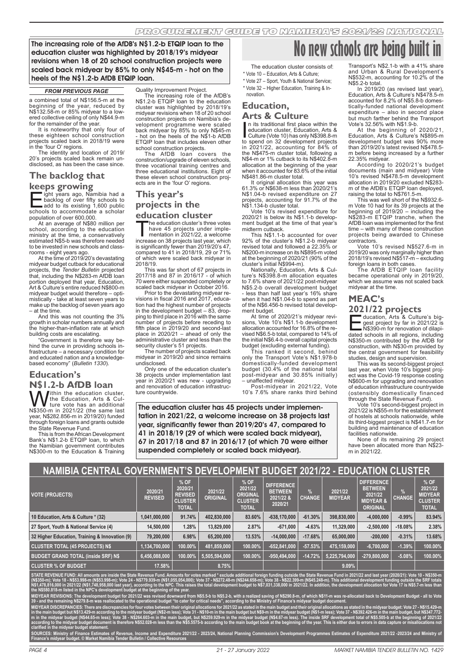The increasing role of the AfDB's N\$1.2-b ETQIP loan to the education cluster was highlighted by 2018/19's midyear revisions when 18 of 20 school construction projects were scaled back midyear by 85% to only N\$45-m - hot on the heels of the N\$1.2-b AfDB ETQIP loan.

#### *FROM PREVIOUS PAGE*

a combined total of N\$156.5-m at the beginning of the year, reduced by N\$132.58-m or 85% midyear to a lowered collective ceiling of only N\$44.9-m for the remainder of the year.

It is noteworthy that only four of these eighteen school construction projects scaled back in 2018/19 were in the 'four O' regions.

The identity and location of 2019/ 20's projects scaled back remain undisclosed, as has been the case since.

## **The backlog that keeps growing**

**Eight years ago, Namibia had a** backlog of over fifty schools to add to its existing 1,600 public schools to accommodate a scholar ight years ago, Namibia had a<br>backlog of over fifty schools to population of over 600,000.

At an average of N\$80 million per school, according to the education ministry at the time, a conservatively estimated N\$5-b was therefore needed to be invested in new schools and class-

rooms - eight years ago. At the time of 2019/20's devastating midyear budget cutback for educational projects, the *Tender Bulletin* projected that, including the N\$283-m AfDB loan portion deployed that year, Education, Art & Culture's entire reduced N\$800-m midyear budget would therefore – optimistically - take at least seven years to make up the backlog of seven years ago – at the time.

And this was not counting the 3% growth in scholar numbers annually and the higher-than-inflation rate at which building costs are escalating.

"Government is therefore way behind the curve in providing schools infrastructure – a necessary condition for and educated nation and a knowledgebased economy" (*Bulletin 1330*).

## **Education's**

**N\$1.2-b AfDB loan** Within the education cluster,<br>ture vote has an additional<br>N\$350-m in 2021/22 (the same last<br>year, N\$282.856-m in 2019/20) funded the Education, Arts & Culture vote has an additional through foreign loans and grants outside the State Revenue Fund.

This is from the African Development Bank's N\$1.2-b ETQIP loan, to which the Namibian government contributes N\$300-m to the Education & Training

#### Quality Improvement Project.

The increasing role of the AfDB's N\$1.2-b ETQIP loan to the education cluster was highlighted by 2018/19's midyear revisions when 18 of 20 school construction projects on Namibia's development programme were scaled back midyear by 85% to only N\$45-m - hot on the heels of the N\$1-b AfDB ETQIP loan that includes eleven other

school construction projects. The AfDB loan covers the construction/upgrade of eleven schools, three vocational training centres and three educational institutions. Eight of these eleven school construction projects are in the 'four O' regions.

## **This year's**

## **projects in the**

**education cluster**<br> **The education cluster's three votes** 

The education cluster's three votes<br>have 45 projects under imple-<br>increase on 38 projects last year which have 45 projects under imple-mentation in 2021/22, a welcome increase on 38 projects last year, which is significantly fewer than 2019/20's 47, compared to 41 in 2018/19, 29 or 71%  $m$  parea to  $n = 1, n = 0, 0, 1, 0, 0, ...$ 2018/19.

This was far short of 67 projects in 2017/18 and 87 in 2016/17 - of which 70 were either suspended completely or scaled back midyear in October 2016.

Prior to the devastating midyear re-visions in fiscal 2016 and 2017, education had the highest number of projects in the development budget – 83, drop-ping to third place in 2016 with the same number of projects before receding to fifth place in 2019/20 and second-last place in 2020/21 – ahead of only the administrative cluster and less than the

security cluster's 51 projects. The number of projects scaled back midyear in 2019/20 and since remains undisclosed.

Only one of the education cluster's 38 projects under implementation last year in 2020/21 was new - upgrading and renovation of education infrastructure countrywide.

- The education cluster consists of:
- \* Vote 10 Education, Arts & Culture;

\* Vote 27 – Sport, Youth & National Service; \* Vote 32 – Higher Education, Training & Innovation.

## **Education,**

## **Arts & Culture**

In its traditional first place within the<br>
education cluster, Education, Arts &<br>
coulture (Vote 10) has only N\$398.8-m<br>
to spend on 32 development projects<br>
in 2021/22, accounting for 84% of n its traditional first place within the education cluster, Education, Arts & Culture (Vote 10) has only N\$398.8-m the N\$475-m cluster total, following a N\$4-m or 1% cutback to its N\$402.8-m allocation at the beginning of the year when it accounted for 83.6% of the initial N\$481.86-m cluster total.

It original allocation this year was 61.3% or N\$638-m less than 2020/21's N\$1.04-b revised expenditure on 27 projects, accounting for 91.7% of the N\$1.134-b cluster total.

Vote 10's revised expenditure for 2020/21 is below its N\$1.1-b develop-ment budget at the time of that year's

midterm cutback. This N\$1.1-b accounted for over 92% of the cluster's N\$1.2-b midyear revised total and followed a 22.35% or N\$200-m increase on its N\$895-m voted at the beginning of 2020/21 (90% of the cluster's initial N\$994-m).

Nationally, Education, Arts & Culture's N\$398.8-m allocation equates to 7.6% share of 2021/22 post-midyear N\$5.2-b overall development budget - less than half last year's 16% share when it had N\$1.04-b to spend as part of the N\$6.456-b revised total development budget.

At time of 2020/21's midyear revisions, Vote 10's N\$1.1-b development allocation accounted for 16.8% of the revised N\$6.5-b total, compared to 14% of the initial N\$6.4-b overall capital projects

budget (excluding external funding). This ranked it second, behind only the Transport Vote's N\$1.978-b domestically-funded development budget (30.4% of the national total post-midyear and 30.85% initially)

– unaffected midyear. Post-midyear in 2021/22, Vote 10's 7.6% share ranks third behind

The education cluster has 45 projects under implementation in 2021/22, a welcome increase on 38 projects last year, significantly fewer than 2019/20's 47, compared to 41 in 2018/19 (29 of which were scaled back midyear), 67 in 2017/18 and 87 in 2016/17 (of which 70 were either suspended completely or scaled back midyear).

## **No new schools are being bi**

Transport's N\$2.1-b with a 41% share and Urban & Rural Development's N\$532-m, accounting for 10.2% of the N\$5.2-b total.

In 2019/20 (as revised last year), Education, Arts & Culture's N\$478.5-m accounted for 8.2% of N\$5.8-b domestically-funded national development expenditure – also in second place but much farther behind the Transport Vote's 32.56% with N\$1.9-b.

At the beginning of 2020/21, Education, Arts & Culture's N\$895-m development budget was 90% more than 2019/20's latest revised N\$478.5 m before being increased by a further 22.35% midyear.

According to 2020/21's budget documents (main and midyear) Vote 10's revised N\$478.5-m development allocation in 2019/20 excluded N\$283 m of the AfDB's ETQIP loan deployed, raising the total to N\$761.5-m.

This was well short of the N\$932.6- m Vote 10 had for its 39 projects at the beginning of 2019/20 – including the N\$283-m ETQIP tranche, when the AfDB loan was implemented for the first time – with many of these construction projects being awarded to Chinese contractors.

Vote 10's revised N\$527.6-m in 2019/20 was only marginally higher than 2018/19's revised N\$517-m – excluding foreign loans in both cases.

The AfDB ETQIP loan facility became operational only in 2019/20, which we assume was not scaled back midyear at the time.

## **MEAC's**

## **2021/22 projects**

ducation, Arts & Culture's big-<br>gest project by far in 2021/22 is<br>https://www.party.com/br/nenovation.org/liapi-<br>dated schools in all regions including gest project by far in 2021/22 is N\$390-m for renovation of dilapidated schools in all regions, including N\$350-m contributed by the AfDB for construction, with N\$30-m provided by the central government for feasibility studies, design and supervision.

This was its second-biggest project last year, when Vote 10's biggest project was the Covid-19 response costing N\$600-m for upgrading and renovation of education infrastructure countrywide (ostensibly domestically financed through the State Revenue Fund).

Vote 10's second-biggest project in 2021/22 is N\$55-m for the establishment of hostels at schools nationwide, while its third-biggest project is N\$41.7-m for building and maintenance of education facilities nationwide.

None of its remaining 29 project have been allocated more than N\$23 m in 2021/22.

#### **NAMIBIA CENTRAL GOVERNMENT'S DEVELOPMENT BUDGET 2021/22 - EDUCATION CLUSTER % OF % OF DIFFERENCE DIFFERENCE % OF**

| <b>VOTE (PROJECTS)</b>                         | 2020/21<br><b>REVISED</b> | 2020/21<br><b>REVISED</b><br><b>CLUSTER</b><br><b>TOTAL</b> | 2021/22<br><b>ORIGINAL</b> | 2021/22<br><b>ORIGINAL</b><br><b>CLUSTER</b><br><b>TOTAL</b> | .<br><b>BETWEEN</b><br>2021/22 &<br>2020/21 | <b>CHANGE</b> | 2021/22<br><b>MIDYEAR</b> | <b>BETWEEN</b><br>2021/22<br><b>MIDYEAR &amp;</b><br><b>ORIGINAL</b> | <b>CHANGE</b> | 2021/22<br><b>MIDYEAR</b><br><b>CLUSTER</b><br><b>TOTAL</b> |
|------------------------------------------------|---------------------------|-------------------------------------------------------------|----------------------------|--------------------------------------------------------------|---------------------------------------------|---------------|---------------------------|----------------------------------------------------------------------|---------------|-------------------------------------------------------------|
| 10 Education, Arts & Culture * (32)            | 1.041.000.000             | 91.74%                                                      | 402.830.000                | 83,60%                                                       | $-638.170.000$                              | $-61.30%$     | 398.830.000               | $-4.000.000$                                                         | $-0.99%$      | 83.94%                                                      |
| 27 Sport, Youth & National Service (4)         | 14,500,000                | 1.28%                                                       | 13,829,000                 | 2.87%                                                        | $-671.000$                                  | $-4.63%$      | 11.329.000                | $-2.500.000$                                                         | $-18.08%$     | 2.38%                                                       |
| 32 Higher Education, Training & Innovation (9) | 79.200.000                | 6.98%                                                       | 65,200,000                 | 13.53%                                                       | $-14,000,000$                               | $-17.68%$     | 65,000,000                | $-200,000$                                                           | $-0.31%$      | 13.68%                                                      |
| <b>CLUSTER TOTAL (45 PROJECTS) N\$</b>         | 1,134,700,000             | 100.00%                                                     | 481,859,000                | 100.00%                                                      | -652,841,000                                | $-57.53%$     | 475,159,000               | $-6,700,000$                                                         | $-1.39%$      | 100.00%                                                     |
| <b>BUDGET GRAND TOTAL (inside SRF) NS</b>      | 6,456,088,000             | 100.00%                                                     | 5,505,594,000              | 100.00%                                                      | $-950,494,000$                              | $-14.72%$     | 5,225,794,000             | $-279.800.000$                                                       | $-5.08%$      | 100.00%                                                     |
| <b>CLUSTER % OF BUDGET</b>                     | 17.58%                    |                                                             | 8.75%                      |                                                              |                                             |               | $9.09\%$                  |                                                                      |               |                                                             |

STATE REVENUE FUND: All amounts are inside the State Revenue Fund. Amounts for votes marked \* exclude additional foreign funding outside the State Revenue Fund in 2021/22 and last year (2020/21): Vote 10 - N\$350-m<br>(N\$350-m N\$1,478,816,000 in 2021/22 (N\$1,748,958,000 last year), according to the NPC. This raises the total development budget to N\$7,031,338,000 in 2021/22. In addition, the development allocation for Vote 17 is N\$5.7-m less than **the N\$580.818-m listed in the NPC's development budget at the beginning of the year.**

**MIDYEAR REVISIONS: The development budget for 2021/22 was revised downward from N\$5.5-b to N\$5.2-b, with a realized saving of N\$290.8-m, of which N\$11-m was re-allocated back to Development Budget - all to Vote 39 - and the remaining N\$279.8-m was reallocated to the operational budget "to cater for critical needs", according to the Ministry of Finance's midyear budget document.** 

MIDYEAR DISCREPANCIES: There are discrepancies for four votes between their original allocations for 2021/22 as stated in the main budget and their original allocations as stated in the midyear budget: Vote 27 - N\$15.429-m in the main budget but N\$13.429-m according to the midyear budget (N\$2-m less); Vote 31 - N\$10-m in the main budget but N\$9-m in the midyear budget (N\$1-m less); Vote 37 - N\$392.426-m in the main budget, but N\$347.772 **m in the midyear budget (N\$44.65-m less); Vote 38 - N\$264.603-m in the main budget, but N\$259.929-m in the midyear budget (N\$4.67-m less). The inside SRF development total of N\$5.505-b at the beginning of 2021/22**  according to the midyear budget document is therefore N\$52.028-m less than the N\$5.5575-b according to the main budget book at the beginning of the year. This is either due to errors in data capture or misallocations not **clarified in the midyear budget statement.**

re 2021/22 - 2023/24, National Planning Commission's Development Programmes Estimates of Expenditure 2021/22 -2023/24 and Ministry o **Finance's midyear budget. © Market Namibia Tender Bulletin / Collective Resources**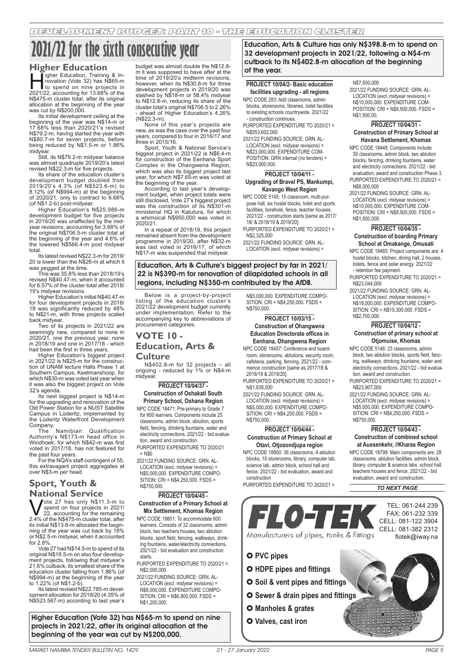# **2021/22 for the sixth consecutive year**

## **Higher Education**<br>**I** ligher Education, Training & In-

ligher Education, Training & In-<br>
novation (Vote 32) has N\$65-m<br>
10 spend on nine projects in<br>
2021/22 accounting for 13.68% of the novation (Vote 32) has N\$65-m to spend on nine projects in 2021/22, accounting for 13.68% of the N\$475-m cluster total, after its original allocation at the beginning of the year was cut by N\$200,000.

Its initial development ceiling at the beginning of the year was N\$14-m or 17.68% less than 2020/21's revised N\$79.2-m, having started the year with N\$80.7-m for seven projects, before being reduced by N\$1.5-m or 1.86%

midyear. Still, its N\$79.2-m midyear balance was almost quadruple 2019/20's latest revised N\$22.3-m for five projects.

Its share of the education cluster's development budget doubled from 2019/20's 4.3% (of N\$523.6-m) to 8.12% (of N\$994-m) at the beginning of 2020/21, only to contract to 6.66% (of N\$1.2-b) post-midyear.

Higher Education's N\$25.986-m development budget for five projects in 2019/20 was unaffected by the midyear revisions, accounting for 3.68% of the original N\$706.5-m cluster total at the beginning of the year and 4.6% of the lowered N\$566.4-m post midyear total.

Its latest revised N\$22.3-m for 2019/ 20 is lower than the N\$26-m at which it

was pegged at the time. This was 35.8% less than 2018/19's revised N\$40.47-m, when it accounted for 6.57% of the cluster total after 2018/ 19's midyear revisions.

Higher Education's initial N\$40.47-m for four development projects in 2018/ 19 was significantly reduced by 48% to N\$21-m, with three projects scaled back midyear.

Two of its projects in 2021/22 are seemingly new, compared to none in 2020/21, one the previous year, none in 2018/19 and one in 2017/18 - which had been the first in three years.

Higher Education's biggest project in 2021/22 is N\$25-m for the construction of UNAM lecture Halls Phase 1 at Southern Campus, Keetmanshoop, for which N\$30-m was voted last year when it was also the biggest project on Vote 32's agenda.

Its next biggest project is N\$14-m for the upgrading and renovation of the Old Power Station for a NUST Satellite Campus in Lüderitz, implemented by the Lüderitz Waterfront Development

Company. The Namibian Qualification Authority's N\$173-m head office in Windhoek, for which N\$42-m was first voted in 2017/18, has not featured for the past four years.

For the NQA's staff contingent of 55, this extravagant project aggregates at over N\$3-m per head.

## **Sport, Youth & National Service**<br>**N** *J*ote 27 has only N\$11.3-m to

**Vote 27 has only N\$11.3-m to** peed on four projects in 2021/<br>22, accounting for the remaining<br>2.4% of the N\$475-m cluster total, after spend on four projects in 2021/ its initial N\$13.8-m allocated the beginning of the year was cut back by 18% or N\$2.5-m midyear, when it accounted

for 2.8%. Vote 27 had N\$14.5-m to spend of its original N\$18.5-m on also four development projects, following that midyear's 21.6% cutback, its smallest share of the education cluster falling from 1.86% (of N\$994-m) at the beginning of the year to 1.22% (of N\$1.2-b).

Its latest revised N\$22.785-m development allocation for 2019/20 (4.35% of N\$523.567-m) according to last year's

Higher Education (Vote 32) has N\$65-m to spend on nine projects in 2021/22, after its original allocation at the beginning of the year was cut by N\$200,000.

budget was almost double the N\$12.8 m it was supposed to have after at the time of 2019/20's midterm revisions, however, when its N\$30.8-m for three development projects in 2019/20 was slashed by N\$18-m or 58.4% midyear to N\$12.8-m, reducing its share of the cluster total's original N\$706.5 to 2.26% ahead of Higher Education's 4.26% (N\$22.3-m).

None of this year's projects are new, as was the case over the past four years, compared to four in 2016/17 and three in 2015/16.

Sport, Youth & National Service's biggest project in 2021/22 is N\$6.4-m for construction of the Eenhana Sport Complex in the Ohangwena Region, which was also its biggest project last year, for which N\$7.65-m was voted at the beginning of the year.

According to last year's development budget, when project totals were still disclosed, Vote 27's biggest project was the construction of its N\$301-m ministerial HQ in Katutura, for which a whimsical N\$950,000 was voted in 2020/21.

In a repeat of 2018/19, this project remained absent from the development programme in 2019/20, after N\$32-m was last voted in 2016/17, of which N\$17-m was suspended that midyear.

Education, Arts & Culture's biggest project by far in 2021/ 22 is N\$390-m for renovation of dilapidated schools in all regions, including N\$350-m contributed by the AfDB.

Below is a project-by-project listing of the education cluster's 2021/22 development budget currently under implementation. Refer to the accompanying key to abbreviations of procurement categories

## **VOTE 10 - Education, Arts &**

## **Culture**

N\$402.8-m for 32 projects – all ongoing - reduced by 1% or N\$4-m midyear.

## **PROJECT 10/04/37 - Construction of Oshakati South Primary School, Oshana Region**

NPC CODE 18471: Pre-primary to Grade 7 for 800 learners. Components include 25 classrooms, admin block, ablution, sports field, fencing, drinking fountains, water and electricity connections. 2021/22 - bid evaluation, award and construction.

PURPORTED EXPENDITURE TO 2020/21  $=$  N\$0 2021/22 FUNDING SOURCE: GRN. AL-

LOCATION (excl. midyear revisions) = N\$5,000,000. EXPENDITURE COMPO-SITION: CRI = N\$4,250,000. FSDS = N\$750,000.

## **PROJECT 10/04/45 - Construction of a Primary School at**

**Mix Settlement, Khomas Region** NPC CODE 18801: To accommodate 600 learners. Consists of 32 classrooms, admin block, two teachers houses, two ablution blocks, sport field, fencing, walkways, drinking fountains, water/electricity connections. 2021/22 - bid evaluation and construction starts.

PURPORTED EXPENDITURE TO 2020/21 = N\$2,000,000

2021/22 FUNDING SOURCE: GRN. AL-LOCATION (excl. midyear revisions) = N\$8,000,000. EXPENDITURE COMPO-SITION: CRI = N\$6,800,000. FSDS = N\$1,200,000.

Education, Arts & Culture has only N\$398.8-m to spend on 32 development projects in 2021/22, following a N\$4-m cutback to its N\$402.8-m allocation at the beginning of the year.

## **PROJECT 10/04/2- Basic education facilities upgrading - all regions**

NPC CODE 283: Add classrooms, admin blocks, storerooms, libraries, toilet facilities to existing schools countrywide. 2021/22

- construction continues. PURPORTED EXPENDITURE TO 2020/21 =

N\$553,602,000 2021/22 FUNDING SOURCE: GRN. AL-

LOCATION (excl. midyear revisions) = N\$23,000,000. EXPENDITURE COM-POSITION: GRN internal (no tenders) = N\$23,000,000.

## **PROJECT 10/04/11 -**

## **Upgrading of Bravel PS, Mankumpi, Kavango West Region**

NPC CODE 5145: 15 classroom, multi-purpose hall, six hostel blocks, toilet and sports facilities, borehole, fence, teacher houses. 2021/22 - construction starts [same as 2017/ 18/ & 2018/19 & 2019/20].

- PURPORTED EXPENDITURE TO 2020/21 = N\$2,325,000
- 2021/22 FUNDING SOURCE: GRN. AL-LOCATION (excl. midyear revisions) =

N\$5,000,000. EXPENDITURE COMPO-SITION: CRI = N\$4,250,000. FSDS = N\$750,000.

## **PROJECT 10/03/15 - Construction of Ohangwena Education Directorate offices in Eenhana, Ohangwena Region**

NPC CODE 18457: Conference and boardroom, storerooms, ablutions, security room, cafeteria, parking, fencing. 2021/22 - commence construction [same as 2017/18 & 2018/19 & 2019/20].

PURPORTED EXPENDITURE TO 2020/21 = N\$1,838,000

2021/22 FUNDING SOURCE: GRN. AL-LOCATION (excl. midyear revisions) = N\$5,000,000. EXPENDITURE COMPO-SITION: CRI = N\$4,250,000. FSDS = N\$750,000.

## **PROJECT 10/04/44 - Construction of Primary School at Otavi, Otjozondjupa region**

NPC CODE 18800: 36 classrooms, 4 ablution blocks, 10 storerooms, library, computer lab, science lab, admin block, school hall and fence. 2021/22 - bid evaluation, award and construction

PURPORTED EXPENDITURE TO 2020/21 =



- 
- **Sewer & drain pipes and fittings**
- **Manholes & grates**
- **Valves, cast iron**

## N\$7,500,000

2021/22 FUNDING SOURCE: GRN. AL-LOCATION (excl. midyear revisions) = N\$10,000,000. EXPENDITURE COM-POSITION: CRI = N\$8,500,000. FSDS = N\$1,500,00.

## **PROJECT 10/04/31 - Construction of Primary School at Havana Settlement, Khomas**

NPC CODE 18448: Components include 30 classrooms, admin block, two ablution blocks, fencing, drinking fountains, water and electricity connections. 2021/22 - bid evaluation, award and construction Phase 3. PURPORTED EXPENDITURE TO 2020/21 = N\$8,000,000

2021/22 FUNDING SOURCE: GRN. AL-LOCATION (excl. midyear revisions) = N\$10,000,000. EXPENDITURE COM-POSITION: CRI = N\$8,500,000. FSDS = N\$1,500,000.

## **PROJECT 10/04/35 - Construction of boarding Primary School at Omakange, Omusati**

NPC CODE 18465: Project components are: 4 hostel blocks, kitchen, dining hall, 2 houses, toilets, fence and solar energy. 2021/22

- retention fee payment. PURPORTED EXPENDITURE TO 2020/21 = N\$23,044,000
- 2021/22 FUNDING SOURCE: GRN. AL-LOCATION (excl. midyear revisions) = N\$18,000,000. EXPENDITURE COMPO-SITION: CRI = N\$15,300,000. FSDS = N\$2,700,000.

## **PROJECT 10/04/12 - Construction of primary school at Otjomuise, Khomas**

- NPC CODE 5146: 23 classrooms, admin block, two ablution blocks, sports field, fencing, walkways, drinking fountains, water and electricity connections. 2021/22 - bid evaluation, award and construction.
- PURPORTED EXPENDITURE TO 2020/21 = N\$23,907,000
- 2021/22 FUNDING SOURCE: GRN. AL-LOCATION (excl. midyear revisions) = N\$5,000,000. EXPENDITURE COMPO-SITION: CRI = N\$4,250,000. FSDS = N\$750,000.

## **PROJECT 10/04/43 - Construction of combined school at Aussenkehr, //Kharas Region**

NPC CODE 18799: Main components are: 28 classrooms. ablution facilities. admin block. library. computer & science labs. school hall. teachers houses and fence. 2021/22 - bid evaluation, award and construction.

*TO NEXT PAGE*

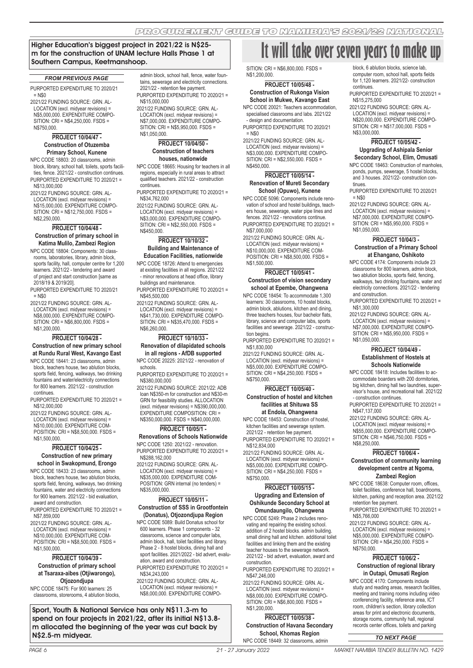## Higher Education's biggest project in 2021/22 is N\$25 m for the construction of UNAM lecture Halls Phase 1 at Southern Campus, Keetmanshoop.

#### *FROM PREVIOUS PAGE*

PURPORTED EXPENDITURE TO 2020/21  $=$  N\$0

2021/22 FUNDING SOURCE: GRN. AL-LOCATION (excl. midyear revisions) = N\$5,000,000. EXPENDITURE COMPO-SITION: CRI = N\$4,250,000. FSDS = N\$750,000.

## **PROJECT 10/04/47 - Construction of Otuzemba Primary School, Kunene**

NPC CODE 18803: 20 classrooms, admin block, library, school hall, toilets, sports facilities, fence. 2021/22 - construction continues. PURPORTED EXPENDITURE TO 2020/21 = N\$13,000,000

2021/22 FUNDING SOURCE: GRN. AL-LOCATION (excl. midyear revisions) = N\$15,000,000. EXPENDITURE COMPO-SITION: CRI = N\$12,750,000. FSDS = N\$2,250,000.

## **PROJECT 10/04/48 -**

## **Construction of primary school in Katima Mulilo, Zambezi Region**

NPC CODE 18804: Components: 30 classrooms, laboratories, library, admin block, sports facility, hall, computer centre for 1,200 learners. 2021/22 - tendering and award of project and start construction [same as 2018/19 & 2019/20].

PURPORTED EXPENDITURE TO 2020/21  $=$  N\$0

2021/22 FUNDING SOURCE: GRN. AL-LOCATION (excl. midyear revisions) = N\$8,000,000. EXPENDITURE COMPO-SITION: CRI = N\$6,800,000. FSDS = N\$1,200,000.

#### **PROJECT 10/04/28 -**

## **Construction of new primary school at Rundu Rural West, Kavango East**

NPC CODE 18441: 23 classrooms, admin block, teachers house, two ablution blocks, sports field, fencing, walkways, two drinking fountains and water/electricity connections for 800 learners. 2021/22 - construction continues.

PURPORTED EXPENDITURE TO 2020/21 = N\$12,000,000

2021/22 FUNDING SOURCE: GRN. AL-LOCATION (excl. midyear revisions) = N\$10,000,000. EXPENDITURE COM-POSITION: CRI = N\$8,500,000. FSDS = N\$1,500,000.

## **PROJECT 10/04/25 - Construction of new primary**

## **school in Swakopmund, Erongo**

NPC CODE 18433: 23 classrooms, admin block, teachers house, two ablution blocks sports field, fencing, walkways, two drinking fountains, water and electricity connections for 900 learners. 2021/22 - bid evaluation, award and construction.

PURPORTED EXPENDITURE TO 2020/21 = N\$7,859,000

2021/22 FUNDING SOURCE: GRN. AL-LOCATION (excl. midyear revisions) = N\$10,000,000. EXPENDITURE COM-POSITION: CRI = N\$8,500,000. FSDS = N\$1,500,000.

### **PROJECT 10/04/39 - Construction of primary school at Tsaraxa-aibes (Otjiwarongo), Otjozondjupa**

NPC CODE 18475: For 900 learners: 25 classrooms, storerooms, 4 ablution blocks,

Sport, Youth & National Service has only N\$11.3-m to spend on four projects in 2021/22, after its initial N\$13.8 m allocated the beginning of the year was cut back by N\$2.5-m midyear. *TO NEXT PAGE*

admin block, school hall, fence, water fountains, sewerage and electricity connections. 2021/22 - retention fee payment. PURPORTED EXPENDITURE TO 2020/21 = N\$15,000,000

2021/22 FUNDING SOURCE: GRN. AL-LOCATION (excl. midyear revisions) = N\$7,000,000. EXPENDITURE COMPO-SITION: CRI = N\$5,950,000. FSDS = N\$1,050,000.

## **PROJECT 10/04/50 - Construction of teachers houses, nationwide**

NPC CODE 18665: Housing for teachers in all regions, especially in rural areas to attract qualified teachers. 2021/22 - construction continues.

PURPORTED EXPENDITURE TO 2020/21 = N\$34,762,000

2021/22 FUNDING SOURCE: GRN. AL-LOCATION (excl. midyear revisions) = N\$3,000,000. EXPENDITURE COMPO-SITION: CRI = N\$2,550,000. FSDS = N\$450,000.

## **PROJECT 10/10/32 - Building and Maintenance of Education Facilities, nationwide**

NPC CODE 18726: Attend to emergencies at existing facilities in all regions. 2021/22 - minor renovations at head office, library buildings and maintenance.

PURPORTED EXPENDITURE TO 2020/21 = N\$45,500,000

2021/22 FUNDING SOURCE: GRN. AL-LOCATION (excl. midyear revisions) = N\$41,730,000. EXPENDITURE COMPO-SITION: CRI = N\$35,470,000. FSDS = N\$6,260,000.

## **PROJECT 10/10/33 -**

**Renovation of dilapidated schools in all regions - AfDB supported** NPC CODE 20225: 2021/22 - renovation of

schools. PURPORTED EXPENDITURE TO 2020/21 =

N\$380,000,000

2021/22 FUNDING SOURCE: 2021/22: ADB loan N\$350-m for construction and N\$30-m GRN for feasibility studies. ALLOCATION  $(excl. midyear$  revisions $) =$  N\$390,000,000. EXPENDITURE COMPOSITION: CRI = N\$350,000,000. FSDS = N\$40,000,000.

## **PROJECT 10/05/1 -**

**Renovations of Schools Nationwide** NPC CODE 1250: 2021/22 - renovation. PURPORTED EXPENDITURE TO 2020/21 =

N\$288,162,000 2021/22 FUNDING SOURCE: GRN. AL-LOCATION (excl. midyear revisions) = N\$35,000,000. EXPENDITURE COM-POSITION: GRN internal (no tenders) = N\$35,000,000.

## **PROJECT 10/05/11 - Construction of SSS in Grootfontein**

**(Donatus), Otjozondjupa Region** NPC CODE 5089: Build Donatus school for 600 learners. Phase 1 components - 32 classrooms, science and computer labs, admin block, hall, toilet facilities and library. Phase 2 - 8 hostel blocks, dining hall and sport facilities. 2021/2022 - bid advert, evaluation, award and construction. PURPORTED EXPENDITURE TO 2020/21 =

N\$34,243,000 2021/22 FUNDING SOURCE: GRN. AL-

LOCATION (excl. midyear revisions) = N\$8,000,000. EXPENDITURE COMPO-

## **It will take over seven years to make up**

SITION: CRI = N\$6,800,000. FSDS = N\$1,200,000.

## **PROJECT 10/05/48 - Construction of Rukonga Vision School in Mukwe, Kavango East**

NPC CODE 20021: Teachers accommodation, specialised classrooms and labs. 2021/22 - design and documentation.

PURPORTED EXPENDITURE TO 2020/21  $=$  N\$0

2021/22 FUNDING SOURCE: GRN. AL-LOCATION (excl. midyear revisions) N\$3,000,000. EXPENDITURE COMPO-SITION: CRI = N\$2,550,000. FSDS = N\$450,000.

## **PROJECT 10/05/14 - Renovation of Mureti Secondary School (Opuwo), Kunene**

NPC CODE 5096: Components include renovation of school and hostel buildings, teachers house, sewerage, water pipe lines and fences. 2021/22 - renovations continue. PURPORTED EXPENDITURE TO 2020/21 = N\$7,000,000

2021/22 FUNDING SOURCE: GRN. AL-LOCATION (excl. midyear revisions) = N\$10,000,000. EXPENDITURE COM-

 $POSITION: CRI = N$8,500,000. FSDS =$ N\$1,500,000.

## **PROJECT 10/05/41 - Construction of vision secondary school at Epembe, Ohangwena**

NPC CODE 18454: To accommodate 1,300 learners: 30 classrooms, 10 hostel blocks, admin block, ablutions, kitchen and dining, three teachers houses, four bachelor flats, library, science and computer labs, sports facilities and sewerage. 2021/22 - construction begins.

PURPORTED EXPENDITURE TO 2020/21 = N\$1,830,000

2021/22 FUNDING SOURCE: GRN. AL-LOCATION (excl. midyear revisions) = N\$5,000,000. EXPENDITURE COMPO-SITION: CRI = N\$4,250,000. FSDS = N\$750,000.

## **PROJECT 10/05/40 -**

## **Construction of hostel and kitchen facilities at Shituwa SS at Endola, Ohangwena**

NPC CODE 18453: Construction of hostel, kitchen facilities and sewerage system. 2021/22 - retention fee payment.

PURPORTED EXPENDITURE TO 2020/21 = N\$12,834,000

2021/22 FUNDING SOURCE: GRN. AL-LOCATION (excl. midyear revisions) = N\$5,000,000. EXPENDITURE COMPO-SITION: CRI = N\$4,250,000. FSDS = N\$750,000.

## **PROJECT 10/05/15 - Upgrading and Extension of Oshikunde Secondary School at Omundaungilo, Ohangwena**

NPC CODE 5249: Phase 2 includes renovating and repairing the existing school. addition of 2 hostel blocks. admin building. small dining hall and kitchen. additional toilet facilities and linking them and the existing teacher houses to the sewerage network. 2021/22 - bid advert, evaluation, award and construction.

PURPORTED EXPENDITURE TO 2020/21 = N\$47,246,000

2021/22 FUNDING SOURCE: GRN. AL-LOCATION (excl. midyear revisions) = N\$8,000,000. EXPENDITURE COMPO-SITION: CRI = N\$6,800,000. FSDS = N\$1,200,000.

**PROJECT 10/05/38 - Construction of Havana Secondary School, Khomas Region** NPC CODE 18449: 32 classrooms, admin

block, 6 ablution blocks, science lab computer room, school hall, sports fields for 1,120 learners. 2021/22- construction continues.

PURPORTED EXPENDITURE TO 2020/21 = N\$15,275,000

2021/22 FUNDING SOURCE: GRN. AL-LOCATION (excl. midyear revisions) = N\$20,000,000. EXPENDITURE COMPO-SITION: CRI = N\$17,000,000. FSDS = N\$3,000,000.

## **PROJECT 10/05/42 - Upgrading of Ashipala Senior**

**Secondary School, Elim, Omusati**  NPC CODE 18463: Construction of manholes, ponds, pumps, sewerage, 5 hostel blocks, and 3 houses. 2021/22- construction continues

PURPORTED EXPENDITURE TO 2020/21  $=$  N\$0

2021/22 FUNDING SOURCE: GRN. AL-LOCATION (excl. midyear revisions) = N\$7,000,000. EXPENDITURE COMPO- $SITION: CRI = N$5,950,000 FSDS =$ N\$1,050,000.

## **PROJECT 10/04/3 - Construction of a Primary School at Ehangano, Oshikoto**

NPC CODE 4174: Components include 23 classrooms for 800 learners, admin block, two ablution blocks, sports field, fencing, walkways, two drinking fountains, water and electricity connections. 2021/22 - tendering and construction.

PURPORTED EXPENDITURE TO 2020/21 = N\$1,300,000

2021/22 FUNDING SOURCE: GRN. AL-LOCATION (excl. midyear revisions) = N\$7,000,000. EXPENDITURE COMPO-SITION: CRI = N\$5,950,000. FSDS = N\$1,050,000.

## **PROJECT 10/04/49 - Establishment of Hostels at Schools Nationwide**

NPC CODE 18418: Includes facilities to accommodate boarders with 200 dormitories, big kitchen, dining hall two laundries, supervisor's house, and recreational hall. 2021/22 - construction continues.

PURPORTED EXPENDITURE TO 2020/21 = N\$47,137,000

2021/22 FUNDING SOURCE: GRN. AL-LOCATION (excl. midyear revisions) = N\$55,000,000. EXPENDITURE COMPO-SITION: CRI = N\$46,750,000. FSDS = N\$8,250,000.

## **PROJECT 10/06/4 -**

## **Construction of community learning development centre at Ngoma, Zambezi Region**

NPC CODE 18638: Computer room, offices, toilet facilities, conference hall, boardrooms, kitchen, parking and reception area. 2021/22 retention fee payment.

PURPORTED EXPENDITURE TO 2020/21 = N\$5,766,000

2021/22 FUNDING SOURCE: GRN. AL-LOCATION (excl. midyear revisions) = N\$5,000,000. EXPENDITURE COMPO-SITION: CRI = N\$4,250,000. FSDS = N\$750,000.

## **PROJECT 10/06/2 - Construction of regional library in Outapi, Omusati Region**

NPC CODE 4170: Components include study and reading areas, research facilities, meeting and training rooms including video conferencing facility, reference area, ICT room, children's section, library collection areas for print and electronic documents, storage rooms, community hall, regional records center offices, toilets and parking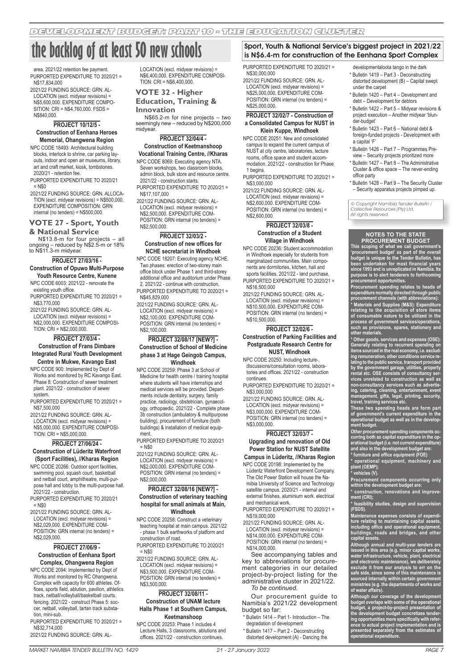## **the backlog of at least 50 new schools**

area. 2021/22 retention fee payment. PURPORTED EXPENDITURE TO 2020/21 = N\$17,834,000

2021/22 FUNDING SOURCE: GRN. AL-LOCATION (excl. midyear revisions) = N\$5,600,000. EXPENDITURE COMPO-SITION: CRI = N\$4,760,000. FSDS = N\$840,000.

## **PROJECT 10/12/5 - Construction of Eenhana Heroes Memorial, Ohangwena Region**

NPC CODE 18493: Architectural building blocks, interlock to shrine, car parking layouts, indoor and open air museums, library, art and craft market, kiosk, tombstones. 2020/21 - retention fee.

PURPORTED EXPENDITURE TO 2020/21  $=$  N\$0

2021/22 FUNDING SOURCE: GRN. ALLOCA-TION (excl. midyear revisions) = N\$500,000. EXPENDITURE COMPOSITION: GRN internal (no tenders) = N\$500,000.

## **VOTE 27 - Sport, Youth**

**& National Service** N\$13.8-m for four projects – all ongoing – reduced by N\$2.5-m or 18% to N\$11.3-m midyear.

## **PROJECT 27/03/16 -**

**Construction of Opuwo Multi-Purpose Youth Resource Centre, Kunene** 

NPC CODE 6003: 2021/22 - renovate the existing youth office.

PURPORTED EXPENDITURE TO 2020/21 = N\$3,770,000

2021/22 FUNDING SOURCE: GRN. AL-LOCATION (excl. midyear revisions) = N\$2,000,000. EXPENDITURE COMPOSI-TION: CRI = N\$2,000,000.

## **PROJECT 27/03/4 -**

## **Construction of Frans Dimbare Integrated Rural Youth Development Centre in Mukwe, Kavango East**

NPC CODE 900: Implemented by Dept of Works and monitored by RC Kavango East. Phase 8: Construction of sewer treatment plant. 2021/22 - construction of sewer system.

PURPORTED EXPENDITURE TO 2020/21 = N\$7,500,000

2021/22 FUNDING SOURCE: GRN. AL-LOCATION (excl. midyear revisions) = N\$5,000,000. EXPENDITURE COMPOSI-TION: CRI = N\$5,000,000.

### **PROJECT 27/06/24 - Construction of Lüderitz Waterfront (Sport Facilities), //Kharas Region**

NPC CODE 20266: Outdoor sport facilities, swimming pool, squash court, basketball and netball court, amphitheatre, multi-purpose hall and lobby to the multi-purpose hall. 2021/22 - construction.

PURPORTED EXPENDITURE TO 2020/21  $=$  N\$0

2021/22 FUNDING SOURCE: GRN. AL-LOCATION (excl. midyear revisions) = N\$2,029,000. EXPENDITURE COM-POSITION: GRN internal (no tenders) = N\$2,029,000.

#### **PROJECT 27/06/9 - Construction of Eenhana Sport Complex, Ohangwena Region**

NPC CODE 2094: Implemented by Dept of Works and monitored by RC Ohangwena. Complex with capacity for 600 athletes. Offices, sports field, ablution, pavilion, athletics track, netball/volleyball/basketball courts. fencing. 2021/22 - construct Phase 5: soccer, netball, volleyball, tartan track substation, mini-sub.

PURPORTED EXPENDITURE TO 2020/21 = N\$32,714,000

2021/22 FUNDING SOURCE: GRN. AL-

LOCATION (excl. midyear revisions) = N\$6,400,000. EXPENDITURE COMPOSI- $TION: CRI = N$6,400,000$ 

## **VOTE 32 - Higher Education, Training &**

**Innovation**

N\$65.2-m for nine projects – two seemingly new – reduced by N\$200,000 midyear.

## **PROJECT 32/04/4 - Construction of Keetmanshoop**

**Vocational Training Centre, //Kharas**  NPC CODE 8069: Executing agency NTA. Seven workshops, two classroom blocks,

admin block, bulk store and resource centre. 2021/22 - construction starts. PURPORTED EXPENDITURE TO 2020/21 =

N\$17,107,000

2021/22 FUNDING SOURCE: GRN. AL-LOCATION (excl. midyear revisions) = N\$2,500,000. EXPENDITURE COM-POSITION: GRN internal (no tenders) = N\$2,500,000.

## **PROJECT 32/03/2 - Construction of new offices for NCHE secretariat in Windhoek**

NPC CODE 18207: Executing agency NCHE. Two phases: erection of two-storey main office block under Phase 1 and third-storey additional office and auditorium under Phase 2. 2021/22 - continue with construction. PURPORTED EXPENDITURE TO 2020/21 = N\$45,829,000

2021/22 FUNDING SOURCE: GRN. AL-LOCATION (excl. midyear revisions) = N\$2,100,000. EXPENDITURE COM-POSITION: GRN internal (no tenders) = N\$2,100,000.

### **PROJECT 32/08/17 [NEW?] - Construction of School of Medicine phase 3 at Hage Geingob Campus, Windhoek**

NPC CODE 20259: Phase 3 at School of Medicine for health centre / training hospital where students will have internships and medical services will be provided. Departments include dentistry, surgery, family practice, radiology, obstetrician, gynaecology, orthopaedic. 2021/22 - Complete phase 3b construction (ambulatory & multipurpose building), procurement of furniture (both buildings) & installation of medical equipment.

PURPORTED EXPENDITURE TO 2020/21 = N\$0

2021/22 FUNDING SOURCE: GRN. AL-LOCATION (excl. midyear revisions) = N\$2,000,000. EXPENDITURE COM-POSITION: GRN internal (no tenders) = N\$2,000,000.

### **PROJECT 32/08/16 [NEW?] - Construction of veterinary teaching hospital for small animals at Main, Windhoek**

NPC CODE 20258: Construct a veterinary teaching hospital at main campus. 2021/22 - phase 1 bulk earthworks of platform and construction of road.

PURPORTED EXPENDITURE TO 2020/21  $=$  N\$0

2021/22 FUNDING SOURCE: GRN. AL-LOCATION (excl. midyear revisions) = N\$3,500,000. EXPENDITURE COM-POSITION: GRN internal (no tenders) = N\$3,500,000.

## **PROJECT 32/08/11 - Construction of UNAM lecture Halls Phase 1 at Southern Campus, Keetmanshoop**

NPC CODE 20253: Phase 1 includes 4 Lecture Halls, 3 classrooms, ablutions and offices. 2021/22 - construction continues.

## Sport, Youth & National Service's biggest project in 2021/22 is N\$6.4-m for construction of the Eenhana Sport Complex

PURPORTED EXPENDITURE TO 2020/21 = N\$30,000,000

2021/22 FUNDING SOURCE: GRN. AL-LOCATION (excl. midyear revisions) N\$25,000,000. EXPENDITURE COM-POSITION: GRN internal (no tenders) = N\$25,000,000.

## **PROJECT 32/02/7 - Construction of a Consolidated Campus for NUST in Klein Kuppe, Windhoek**

NPC CODE 20251: New and consolidated campus to expand the current campus of NUST at city centre, laboratories, lecture rooms, office space and student accommodation. 2021/22 - construction for Phase 1 begins.

PURPORTED EXPENDITURE TO 2020/21 = N\$3,000,000

2021/22 FUNDING SOURCE: GRN. AL-LOCATION (excl. midyear revisions) = N\$2,600,000. EXPENDITURE COM-POSITION: GRN internal (no tenders) = N\$2,600,000.

## **PROJECT 32/03/8 - Construction of a Student Village in Windhoek**

NPC CODE 20236: Student accommodation in Windhoek especially for students from marginalized communities. Main components are dormitories, kitchen, hall and sports facilities. 2021/22 - land purchase. PURPORTED EXPENDITURE TO 2020/21 = N\$16,500,000

2021/22 FUNDING SOURCE: GRN. AL-LOCATION (excl. midyear revisions) = N\$10,500,000. EXPENDITURE COM-POSITION: GRN internal (no tenders) = N\$10,500,000.

## **PROJECT 32/02/6 -**

**Construction of Parking Facilities and Postgraduate Research Centre for NUST, Windhoek**

NPC CODE 20250: Including lecture-, discussions/consultation rooms, laboratories and offices. 2021/22 - construction continues.

PURPORTED EXPENDITURE TO 2020/21 = N\$3,000,000

2021/22 FUNDING SOURCE: GRN. AL-LOCATION (excl. midyear revisions) = N\$3,000,000. EXPENDITURE COM-POSITION: GRN internal (no tenders) = N\$3,000,000.

## **PROJECT 32/03/7 -**

## **Upgrading and renovation of Old Power Station for NUST Satellite**

**Campus in Lüderitz, //Kharas Region** NPC CODE 20198: Implemented by the

Lüderitz Waterfront Development Company. The Old Power Station will house the Namibia University of Science and Technology satellite campus. 2020/21 - internal and external finishes, aluminium work. electrical and mechanical work.

PURPORTED EXPENDITURE TO 2020/21 = N\$19,000,000

2021/22 FUNDING SOURCE: GRN. AL-LOCATION (excl. midyear revisions) = N\$14,000,000. EXPENDITURE COM-

POSITION: GRN internal (no tenders) = N\$14,000,000.

See accompanying tables and key to abbreviations for procurement categories in our detailed project-by-project listing for the administrative cluster in 2021/22. *To be continued.*

Our procurement guide to Namibia's 2021/22 development budget so far:

- \* Bulletin 1414 Part 1- Introduction The degradation of development
- \* Bulletin 1417 Part 2 Deconstructing distorted development (A) - Dancing the

developmentaloota tango in the dark

- \* Bulletin 1419 Part 3 Deconstructing distorted development (B) – Capital swept under the carpet
- \* Bulletin 1420 Part 4 Development and debt – Development for debtors
- \* Bulletin 1422 Part 5 Midyear revisions & project execution – Another midyear 'blunder-budget'
- \* Bulletin 1423 Part 6 National debt & foreign-funded projects - Development with a capital 'F'
- \* Bulletin 1426 Part 7 Programmes Preview – Security projects prioritized more
- \* Bulletin 1427 Part 8 The Administrative Cluster & office space – The never-ending office party
- \* Bulletin 1428 Part 9 The Security Cluster – Security apparatus projects pimped up.

© Copyright Namibia Tender Bulletin / Collective Resources (Pty) Ltd. All rights reserved.

## **NOTES TO THE STATE PROCUREMENT BUDGET**

**This scoping of what we call government's 'procurement budget' as part of the overall budget is unique to the Tender Bulletin, has been undertaken for most financial years since 1993 and is unreplicated in Namibia. Its purpose is to alert tenderers to forthcoming procurement opportunities.**

**Procurement spending relates to heads of expenditure normally directed through public procurement channels (with abbreviations): \* Materials and Supplies (M&S): Expenditure relating to the acquisition of store items of consumable nature to be utilized in the process of government services/operations, such as provisions, spares, stationery and other materials.** 

**\* Other goods, services and expenses (OSE): Generally relating to recurrent spending on items sourced in the real economy, i.e. excluding remuneration, other conditions service relating to the public service, transport provided by the government garage, utilities, property rental etc. OSE consists of consultancy services unrelated to construction as well as non-consultancy services such as advertising, catering, cleaning, entertainment, event management, gifts, legal, printing, security, travel, training services etc.** 

**These two spending heads are form part of government's current expenditure in the operational budget as well as in the development budget.**

**Other procurement spending components occurring both as capital expenditure in the op-erational budget (i.e. not current expenditure) and also in the development budget are:**

**\* furniture and office equipment (FOE) \* operational equipment, machinery and plant (OEMP);**

icles (V).

**Procurement components occurring only within the development budget are:**

**\* construction, renovations and improvement (CRI);**

es, design and supervisi **(FSDS).**

**Maintenance expenses consists of expenditure relating to maintaining capital assets, including office and operational equipment, buildings, roads and bridges, and other capital assets.** 

**Although annual and multi-year tenders are issued in this area (e.g. minor capital works, water infrastructure, vehicle, plant, electrical and electronic maintenance), we deliberately exclude it from our analysis to err on the safe side, since some of this maintenance is sourced internally within certain government ministries (e.g. the departments of works and of water affairs).**

**Although our coverage of the development budget overlaps with some of the operational budget, a project-by-project presentation of the development budget concretizes tendering opportunities more specifically with reference to actual project implementation and is presented separately from the estimates of operational expenditure.**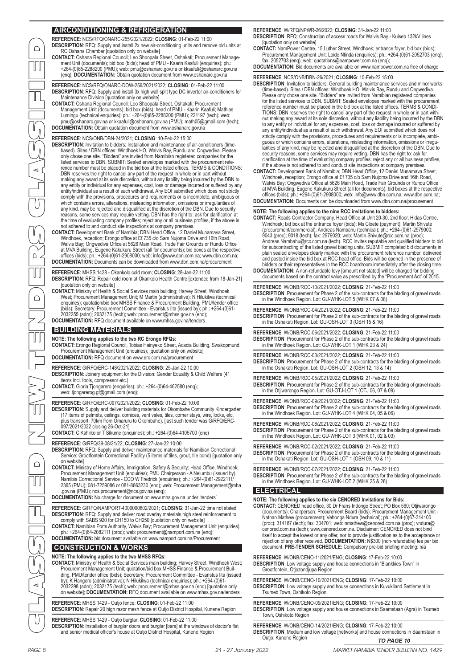## **AIRCONDITIONING & REFRIGERATION**

**REFERENCE**: NCS/RFQ/ONARC-255/2021/2022; **CLOSING**: 01-Feb-22 11:00

**DESCRIPTION**: RFQ: Supply and install 2x new air-conditioning units and remove old units at RC Oshana Chamber [quotation only on website]

**CONTACT:** Oshana Regional Council; Leo Shoopala Street, Oshakati; Procurement Management Unit (documents); bid box (bids); head of PMU - Kaarin Kaafuli (enquiries); ph.: +264-(0)65-2288200 (PMU); web: pmu@oshanarc.gov.na or kkaafuli@oshanarc.gov.na (enq); **DOCUMENTATION:** Obtain quotation document from www.oshanarc.gov.na

**REFERENCE**: NCS/RFQ/ONARC-DOW-256/2021/2022; **CLOSING**: 01-Feb-22 11:00 **DESCRIPTION**: RFQ: Supply and install 3x high wall split type DC inverter air-conditioners for Maintenance Division [quotation only on website]

CONTACT: Oshana Regional Council; Leo Shoopala Street, Oshakati; Procurement<br>Management Unit (documents); bid box (bids); head of PMU - Kaarin Kaafuli; Mathias<br>Lumingu (technical enquiries); ph.: +264-(0)65-2288200 (PMU); **DOCUMENTATION:** Obtain quotation document from www.oshanarc.gov.na

### **REFERENCE**: NCS/ONB/DBN-24/2021; **CLOSING**: 10-Feb-22 15:00

DESCRIPTION: Invitation to bidders: Installation and maintenance of air-conditioners (time-<br>based). Sites / DBN offices: Windhoek HO, Walvis Bay, Rundu and Ongwediva. Please<br>only chose one site. "Bidders" are invited from listed services to DBN. SUBMIT: Sealed envelopes marked with the procurement reference number must be placed in the bid box at the listed offices. TERMS & CONDITIONS: DBN reserves the right to cancel any part of the request in whole or in part without making any award at its sole discretion, without any liability being incurred by the DBN to<br>any entity or individual for any expenses, cost, loss or damage incurred or suffered by any<br>entity/individual as a result of such comply with the provisions, procedures and requirements or is incomplete, ambiguous or which contains errors, alterations, misleading information, omissions or irregularities of any kind, may be rejected and disqualified at the discretion of the DBN. Due to security<br>reasons, some services may require vetting. DBN has the right to: ask for clarification at<br>the time of evaluating company profiles; r

not adhered to and conduct site inspections at company premises.<br>CONTACT: Development Bank of Namibia; DBN Head Office, 12 Daniel Munamava Street,<br>Windhoek, reception; Erongo office at Ef 735 c/o Sam Nujoma Drive and 16th Walvis Bay; Ongwediva Office at 5626 Main Road, Trade Fair Grounds or Rundu Office<br>at MVA Building, Eugene Kakukuru Street (all for documents); bid boxes at the respective<br>offices (bids); ph.: +264-(0)61-2908000; web: inf **DOCUMENTATION:** Documents can be downloaded from www.dbn.com.na/procurement

**REFERENCE**: MHSS 1428 - Okankolo cold room; **CLOSING**: 28-Jan-22 11:00 **DESCRIPTION**: RFQ: Repair cold room at Okankolo Health Centre [extended from 18-Jan-21] [quotation only on website]

**CONTACT:** Ministry of Health & Social Services main building; Harvey Street, Windhoek West; Procurement Management Unit; M Martin (administrative); N Hilukilwa (technical enquiries); quotation/bid box MHSS Finance & Procurement Building, PMU/tender office (bids); Secretary: Procurement Committee - Evaristus Iita (issued by); ph.: +264-(0)61- 2032255 (adm); 2032175 (tech); web: procurement@mhss.gov.na (enq); **DOCUMENTATION:** RFQ document available on www.mhss.gov.na/tenders

## **BUILDING MATERIALS**

### **NOTE: The following applies to the two RC Erongo RFQs:**

**CONTACT:** Erongo Regional Council, Tobias Hainyeko Street, Acacia Building, Swakopmund; Procurement Management Unit (enquiries); [quotation only on website] **DOCUMENTATION:** RFQ document on www.erc.com.na/procurement

- **REFERENCE**: G/RFQ/ERC-148/2021/2022; **CLOSING**: 25-Jan-22 10:00 **DESCRIPTION**: Joinery equipment for the Division: Gender Equality & Child Welfare (41 items incl. tools, compressor etc.)
- **CONTACT:** Gloria Tjongarero (enquiries); ph.: +264-(0)64-462580 (enq); web: tjongarerog.gt@gmail.com (enq);
- **REFERENCE**: G/RFQ/ERC-097/2021/2022; **CLOSING**: 01-Feb-22 10:00

DESCRIPTION: Supply and deliver building materials for Okombahe Community Kindergarten<br>(17 items of pelmets, ceilings, cornices, vent vales, tiles, corner stays, wire, locks, etc.<br>plus transport: 70km from Omaruru to Okomb 097/2021/2022 closing 26-Oct-21]

**CONTACT:** C Kahiiko or T Sikume (enquiries); ph.: +264-(0)64-4105700 (enq)

## **REFERENCE**: G/RFQ/39-08/21/22; **CLOSING**: 27-Jan-22 10:00

**DESCRIPTION**: RFQ: Supply and deliver maintenance materials for Namibian Correctional Service: Grootfontein Correctional Facility (5 items of tiles, grout, tile bond) [quotation only on website]

CONTACT: Ministry of Home Affairs, Immigration, Safety & Security; Head Office, Windhoek;<br>Procurement Management Unit (enquiries); PMU Chairperson - A Nelumbu (issued by);<br>Namibia Correctional Service - CCO W Fredrick (enq 2365 (PMU); 081-7259086 or 081-8663230 (enq); web: Procurement.Management@mha

.gov.na (PMU); ncs.procurement@ncs.gov.na (enq); **DOCUMENTATION:** No charge for document on www.mha.gov.na under 'tenders'

- **REFERENCE**: G/RFQ/NAMPORT-4000000802/2021; **CLOSING**: 31-Jan-22 time not stated **DESCRIPTION**: RFQ: Supply and deliver road overlay materials high steel reinforcement to
- comply with SABS 920 for CH150 to CH250 [quotation only on website]<br>CONTACT: Namibian Ports Authority, Walvis Bay; Procurement Management Unit (enquiries);<br>ph.: +264-(0)64-2082111 (proc); web: procurement@namport.com.na (e
- **DOCUMENTATION:** bid document available on www.namport.com.na/Procurement

## **CONSTRUCTION & WORKS**

## **NOTE: The following applies to the two MHSS RFQs:**

CONTACT: Ministry of Health & Social Services main building; Harvey Street, Windhoek West;<br>Procurement Management Unit; quotation/bid box MHSS Finance & Procurement Buil-<br>ding, PMU/tender office (bids); Secretary: Procurem on website]; **DOCUMENTATION:** RFQ document available on www.mhss.gov.na/tenders

#### **REFERENCE**: MHSS 1429 - Outjo fence; **CLOSING**: 01-Feb-22 11:00 **DESCRIPTION:** Repair 20 high razor mesh fence at Outio District Hospital, Kunene Region

**REFERENCE**: MHSS 1429 - Outjo burglar; **CLOSING**: 01-Feb-22 11:00 **DESCRIPTION**: Installation of burglar doors and burglar [bars] at the windows of doctor's flat and senior medical officer's house at Outjo District Hospital, Kunene Region **REFERENCE**: W/RFQ/NPWR-26/2022; **CLOSING**: 31-Jan-22 11:00

- **DESCRIPTION**: RFQ: Construction of access roads for Walvis Bay Kuiseb 132kV lines [quotation only on website] **CONTACT:** NamPower Centre, 15 Luther Street, Windhoek; entrance foyer, bid box (bids);
- Procurement Management Unit; Loide Ntinda (enquiries); ph.: +264-(0)61-2052703 (enq); fax: 2052703 (enq); web: quotations@nampower.com.na (enq);
- **DOCUMENTATION:** Bid documents are available on www.nampower.com.na free of charge

## **REFERENCE**: NCS/ONB/DBN-26/2021; **CLOSING**: 10-Feb-22 15:00

- PAGE 8 21 27 January 2022 MARKET NAMIBIA TENDER BULLETIN NO. 1429 MARKET NAMIBIA TENDER BULLETIN NO. 1429 21 27 January 2022 PAGE 9 CLASSIFIED NEW TENDERS CLASSIFIED **DESCRIPTION:** Invitation to bidders: General building maintenance services and minor works<br>(time-based). Sites / DBN offices: Windhoek HO, Walvis Bay, Rundu and Ongwediva.<br>Please only chose one site. "Bidders" are invited reference number must be placed in the bid box at the listed offices. TERMS & CONDI-TIONS: DBN reserves the right to cancel any part of the request in whole or in part with-<br>out making any award at its sole discretion, without any liability being incurred by the DBN<br>to any entity or individual for any exp any entity/individual as a result of such withdrawal. Any EOI submitted which does not strictly comply with the provisions, procedures and requirements or is incomplete, ambiguous or which contains errors, alterations, misleading information, omissions or irregularities of any kind, may be rejected and disqualified at the discretion of the DBN. Due to security reasons, some services may requir
	- CONTACT: Development Bank of Namibia; DBN Head Office, 12 Daniel Munamava Street,<br>Windhoek, reception; Erongo office at Ef 735 c/o Sam Nujoma Drive and 16th Road,<br>Walvis Bay; Ongwediva Office at 5626 Main Road, Trade Fair at MVA Building, Eugene Kakukuru Street (all for documents); bid boxes at the respective offices (bids); ph.: +264-(0)61-2908000; web: info@www.dbn.com.na; www.dbn.com.na; **DOCUMENTATION:** Documents can be downloaded from www.dbn.com.na/procurement

## **NOTE: The following applies to the nine RCC invitations to bidders:**

- **CONTACT:** Roads Contractor Company, Head Office at Unit 20-30, 2nd floor, Hidas Centre, Windhoek; bid box at the entrance foyer (bids); Ms Cloete (payment); Martin Shivute (procurement/commercial); Andreas Nambahu (technical); ph.: +264-(0)61-2979000; 9043 (proc); 9018 (tech); fax: 2979020; web: Martin.Shivute@rcc.com.na (proc); Andreas.Nambahu@rcc.com.na (tech). RCC invites reputable and qualified bidders to bid for subcontracting of the listed gravel blading units. SUBMIT completed bid documents in plain sealed envelopes clearly marked with the procurement reference number, delivered and posted inside the bid box at RCC head office. Bids will be opened in the presence of bidders or their representatives in the RCC boardroom immediately after the closing time.
- **DOCUMENTATION:** A non-refundable levy [amount not stated] will be charged for bidding documents based on the contract value as prescribed by the "Procurement Act" of 2015.

**REFERENCE**: W/ONB/RCC-10/2021/2022; **CLOSING**: 21-Feb-22 11:00

**DESCRIPTION**: Procurement for Phase 2 of the sub-contracts for the blading of gravel roads in the Windhoek Region. Lot: GU-WHK-LOT 5 (WHK 07 & 08)

**REFERENCE**: W/ONB/RCC-04/2021/2022; **CLOSING**: 21-Feb-22 11:00 **DESCRIPTION**: Procurement for Phase 2 of the sub-contracts for the blading of gravel roads in the Oshakati Region. Lot: GU-OSH-LOT 3 (OSH 15 & 16)

**REFERENCE**: W/ONB/RCC-06/2021/2022; **CLOSING**: 21-Feb-22 11:00 **DESCRIPTION**: Procurement for Phase 2 of the sub-contracts for the blading of gravel roads in the Windhoek Region. Lot: GU-WHK-LOT 1 (WHK 23 & 24)

**REFERENCE**: W/ONB/RCC-03/2021/2022; **CLOSING**: 21-Feb-22 11:00 **DESCRIPTION**: Procurement for Phase 2 of the sub-contracts for the blading of gravel roads in the Oshakati Region. Lot: GU-OSH-LOT 2 (OSH 12, 13 & 14)

**REFERENCE**: W/ONB/RCC-05/2021/2022; **CLOSING**: 21-Feb-22 11:00 **DESCRIPTION**: Procurement for Phase 2 of the sub-contracts for the blading of gravel roads in the Otjiwarongo Region. Lot: GU-OTJ-LOT 1 (OTJ 06, 07 & 09)

**REFERENCE**: W/ONB/RCC-09/2021/2022; **CLOSING**: 21-Feb-22 11:00 **DESCRIPTION**: Procurement for Phase 2 of the sub-contracts for the blading of gravel roads in the Windhoek Region. Lot: GU-WHK-LOT 4 (WHK 04, 05 & 06)

**REFERENCE**: W/ONB/RCC-08/2021/2022; **CLOSING**: 21-Feb-22 11:00 **DESCRIPTION**: Procurement for Phase 2 of the sub-contracts for the blading of gravel roads in the Windhoek Region. Lot: GU-WHK-LOT 3 (WHK 01, 02 & 03)

**REFERENCE**: W/ONB/RCC-02/2021/2022; **CLOSING**: 21-Feb-22 11:00 **DESCRIPTION**: Procurement for Phase 2 of the sub-contracts for the blading of gravel roads in the Oshakati Region. Lot: GU-OSH-LOT 1 (OSH 09, 10 & 11)

**REFERENCE**: W/ONB/RCC-07/2021/2022; **CLOSING**: 21-Feb-22 11:00 **DESCRIPTION**: Procurement for Phase 2 of the sub-contracts for the blading of gravel roads in the Windhoek Region. Lot: GU-WHK-LOT 2 (WHK 25 & 26)

## **ELECTRICAL**

## **NOTE: The following applies to the six CENORED Invitations for Bids: CONTACT:** CENORED head office, 30 Dr Frans Indongo Street; PO Box 560; Otjiwarongo (documents); Chairperson: Procurement Board (bids); Procurement Management Unit - Nathan Mathew (procurement); Vehonga Ndura (technical); ph.: +264-(0)67-314100 (proc); 314187 (tech); fax: 304701; web: nmathew@cenored.com.na (proc); vndura@ cenored.com.na (tech); www.cenored.com.na. Disclaimer: CENORED does not bind itself to accept the lowest or any offer, nor to provide justification as to the acceptance or rejection of any offer received. **DOCUMENTATION:** N\$300 (non-refundable) fee per bid document. **PRE-TENDER SCHEDULE:** Compulsory pre-bid briefing meeting: n/a

**REFERENCE**: W/ONB/CENO-11/2021/ENG; **CLOSING**: 17-Feb-22 10:00 **DESCRIPTION**: Low voltage supply and house connections in "Blankkies Town" in Grootfontein, Otjozondjupa Region

**REFERENCE**: W/ONB/CENO-10/2021/ENG; **CLOSING**: 17-Feb-22 10:00 **DESCRIPTION**: Low voltage supply and house connections in Kuvukiland Settlement in Tsumeb Town, Oshikoto Region

**REFERENCE**: W/ONB/CENO-09/2021/ENG; **CLOSING**: 17-Feb-22 10:00 **DESCRIPTION**: Low voltage supply and house connections in Saamstaan (Agra) in Tsumeb Town, Oshikoto Region

*TO PAGE 10* **REFERENCE**: W/ONB/CENO-14/2021/ENG; **CLOSING**: 17-Feb-22 10:00 **DESCRIPTION**: Medium and low voltage [networks] and house connections in Saamstaan in Outio, Kunene Region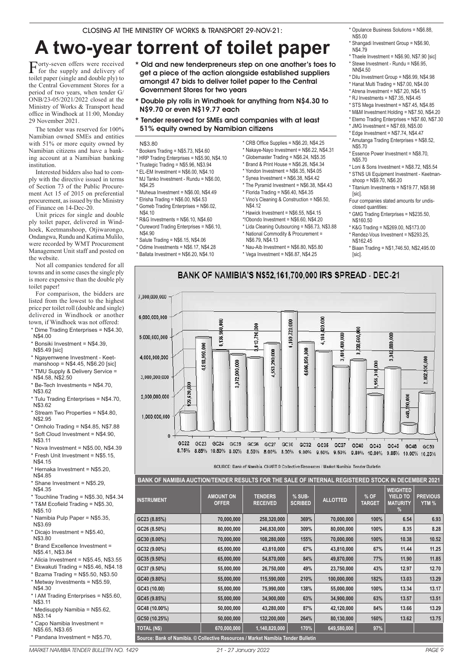# **A two-year torrent of toilet paper**

Forty-seven offers were received for the supply and delivery of toilet paper (single and double ply) to the Central Government Stores for a period of two years, when tender G/ ONB/23-05/2021/2022 closed at the Ministry of Works & Transport head office in Windhoek at 11:00, Monday 29 November 2021.

The tender was reserved for 100% Namibian owned SMEs and entities with 51% or more equity owned by Namibian citizens and have a banking account at a Namibian banking institution.

Interested bidders also had to comply with the directive issued in terms of Section 73 of the Public Procurement Act 15 of 2015 on preferential procurement, as issued by the Ministry of Finance on 14-Dec-20.

Unit prices for single and double ply toilet paper, delivered in Windhoek, Keetmanshoop, Otjiwarongo, Ondangwa, Rundu and Katima Mulilo, were recorded by WMT Procurement Management Unit staff and posted on the website.

Not all companies tendered for all towns and in some cases the single ply is more expensive than the double ply toilet paper!

For comparison, the bidders are listed from the lowest to the highest price per toilet roll (double and single) delivered in Windhoek or another town, if Windhoek was not offered:

- \* Dime Trading Enterprises = N\$4.30, N\$4.00
- \* Bonsiki Investment = N\$4.39,
- N\$5.49 [sic]
- \* Ngayemwene Investment Keet-
- manshoop = N\$4.45, N\$6.20 [sic]
- \* TMU Supply & Delivery Service =
- N\$4.58, N\$2.50 \* Be-Tech Investments = N\$4.70,
- N\$3.62
- \* Tulu Trading Enterprises = N\$4.70, N\$3.62
- \* Stream Two Properties = N\$4.80, N\$2.95
- \* Omholo Trading = N\$4.85, N\$7.88
- \* Soft Cloud Investment = N\$4.90,
- N\$3.11
- \* Nova Investment = N\$5.00, N\$4.39
- \* Fresh Unit Investment = N\$5.15,

N\$4.15 \* Hernaka Investment = N\$5.20,

N\$4.85 \* Shane Investment = N\$5.29,

- N\$4.35 \* Touchline Trading = N\$5.30, N\$4.34 \* T&M Ecofield Trading = N\$5.30,
- N\$5.10 \* Namibia Pulp Paper = N\$5.35,
- N\$3.69 \* Dicajo Investment = N\$5.40,
- N\$3.80 \* Brand Excellence Investment =
- N\$5.41, N\$3.84 \* Alicia Investment = N\$5.45, N\$3.55
- \* Ekwakuti Trading = N\$5.46, N\$4.18
- \* Bzama Trading = N\$5.50, N\$3.50
- \* Metway Investments = N\$5.59,  $N$4.30$
- \* I AM Trading Enterprises = N\$5.60, N\$3.11
- \* Medisupply Namibia = N\$5.62, N\$3.14
- \* Capo Namibia Investment = N\$5.65, N\$3.65
- \* Pandana Investment = N\$5.70,
- \* Old and new tenderpreneurs step on one another's toes to get a piece of the action alongside established suppliers amongst 47 bids to deliver toilet paper to the Central Government Stores for two years
- \* Double ply rolls in Windhoek for anything from N\$4.30 to N\$9.70 or even N\$19.77 each
- \* Tender reserved for SMEs and companies with at least 51% equity owned by Namibian citizens
- N\$3.80
- \* Bookers Trading = N\$5.73, N\$4.60
- \* HRP Trading Enterprises = N\$5.90, N\$4.10
- \* Trustegic Trading = N\$5.96, N\$3.94 \* EL-EM Investment = N\$6.00, N\$4.10
- \* MJ Tanko Investment Rundu = N\$6.00,
- N\$4.25 \* Muheua Investment = N\$6.00, N\$4.49
- \* Elrisha Trading = N\$6.00, N\$4.53
- \* Gomeb Trading Enterprises = N\$6.02, N\$4.10
- $*$  R&G Investments = N\$6.10, N\$4.60
- \* Oureword Trading Enterprises = N\$6.10,  $NQ$ 4.90 \* Salute Trading = N\$6.15, N\$4.06
- \* Odime Investments = N\$6.17, N\$4.28
- $*$  Ballata Investment = N\$6.20, N\$4.10
- \* CRB Office Supplies = N\$6.20, N\$4.25 \* Nakaye-Nayo Investment = N\$6.22, N\$4.31
- \* Globemaster Trading = N\$6.24, N\$5.35
- $*$  Brand & Print House = N\$6.26, N\$4,34
- $*$  Yondon Investment = N\$6.35, N\$4.05
- \* Synea Investment = N\$6.38, N\$4.42
- \* The Pyramid Investment = N\$6.38, N\$4.43 \* Florida Trading = N\$6.40, N\$4.35
- Vino's Cleaning & Construction = N\$6.50, N\$4.12
- \* Lida Cleaning Outsourcing = N\$6.73, N\$3.88
- N\$6.79, N\$4.13
	-
- 
- \* Opulance Business Solutions = N\$6.88, N\$5.00
- \* Shangadi Investment Group = N\$6.90, N\$4.79
- \* Thaele Investment = N\$6.90, N\$7.90 [sic] \* Stewe Investment - Rundu = N\$6.95,
- NN\$4.50 \* Dilu Investment Group = N\$6.99, N\$4.98
- \* Hanat Multi Trading = N\$7.00, N\$4.00
- $*$  Atrena Investment = N\$7.20, N\$4.15
- $*$  RJ Investments = N\$7.35, N\$4.45
- \* STS Mega Investment = N\$7.45, N\$4.85
- \* M&M Investment Holding = N\$7.50, N\$4.20
- \* Etemo Trading Enterprises = N\$7.60, N\$7.30
- \* JMG Investment = N\$7.69, N\$5.00
- $*$  Edge Investment = N\$7.74, N\$4.47
- \* Amutanga Trading Enterprises = N\$8.52, N\$5.70
- \* Essence Power Investment = N\$8.70, N\$5.70
- \* Loni & Sons Investment = N\$8.72, N\$5.54
- \* STNS Uli Equipment Investment Keetmanshoop = N\$9.70, N\$6.20
- \* Titanium Investments = N\$19.77, N\$8.98 [sic].
- Four companies stated amounts for undisclosed quantities:
- \* GMG Trading Enterprises = N\$235.50, N\$160.50
- \* K&G Trading = N\$269.00, N\$173.00 \* Rendez-Vous Investment = N\$293.25, N\$162.45
- \* Biaan Trading = N\$1,746.50, N\$2,495.00 [sic].
- BANK OF NAMIBIA'S N\$52.161.700.000 IRS SPREAD DEC-21 7,000,000,000 6.000.000.000 goo  $\overline{a}$ 720,000 ă  $\frac{1}{20}$ 960 3,738,560,000 790  $\overline{\mathbf{g}}$ 4,168, ,400,000 5,000,000,000 4,136 169. ,813, 80 1,818,990,000  $000$ ,553 290,000 3,342, 3,401 4.000.000.000 850, 800 ã 3,972,990,000 1.606. 102 956.9 3.000.000.000 29,620,0 2,000,000,000  $\frac{8}{2}$  $\frac{90}{2}$ 第. 1.000.000.000  $\theta$ GC22 GC23 GC24 GC25 GC26 GC27 GC30 GC32 GC35 GC37  $GC40$  $GC43$ GC45 GC48 GC50 8.75% 8.85% 10.50% 8.50% 8.60% 8.00% 8.00% 9.00% 9.50% 9.50% 9.80% 10.00% 9.85% 10.00% 10.25% SOURCE: Bank of Namibia, CHART @ Collective Resources / Market Namibia, Tender Bulletin

**BANK OF NAMIBIA AUCTION/TENDER RESULTS FOR THE SALE OF INTERNAL REGISTERED STOCK IN DECEMBER 2021**

| <b>INSTRUMENT</b>                                                                | <b>AMOUNT ON</b><br><b>OFFER</b> | <b>TENDERS</b><br><b>RECEIVED</b> | % SUB-<br><b>SCRIBED</b> | <b>ALLOTTED</b> | $%$ OF<br><b>TARGET</b> | <b>WEIGHTED</b><br><b>YIELD TO</b><br><b>MATURITY</b><br>$\%$ | <b>PREVIOUS</b><br>YTM <sub>%</sub> |
|----------------------------------------------------------------------------------|----------------------------------|-----------------------------------|--------------------------|-----------------|-------------------------|---------------------------------------------------------------|-------------------------------------|
| GC23 (8.85%)                                                                     | 70,000,000                       | 258,320,000                       | 369%                     | 70,000,000      | 100%                    | 6.54                                                          | 6.93                                |
| GC26 (8.50%)                                                                     | 80,000,000                       | 246,830,000                       | 309%                     | 80,000,000      | 100%                    | 8.35                                                          | 8.28                                |
| GC30 (8.00%)                                                                     | 70,000,000                       | 108,280,000                       | 155%                     | 70,000,000      | 100%                    | 10.38                                                         | 10.52                               |
| GC32 (9.00%)                                                                     | 65,000,000                       | 43,810,000                        | 67%                      | 43,810,000      | 67%                     | 11.44                                                         | 11.25                               |
| GC35 (9.50%)                                                                     | 65,000,000                       | 54,870,000                        | 84%                      | 49,870,000      | 77%                     | 11.90                                                         | 11.85                               |
| GC37 (9.50%)                                                                     | 55,000,000                       | 26,750,000                        | 49%                      | 23,750,000      | 43%                     | 12.97                                                         | 12.70                               |
| GC40 (9.80%)                                                                     | 55,000,000                       | 115,590,000                       | 210%                     | 100,000,000     | 182%                    | 13.03                                                         | 13.29                               |
| GC43 (10.00)                                                                     | 55,000,000                       | 75,990,000                        | 138%                     | 55,000,000      | 100%                    | 13.34                                                         | 13.17                               |
| GC45 (9.85%)                                                                     | 55,000,000                       | 34,900,000                        | 63%                      | 34,900,000      | 63%                     | 13.57                                                         | 13.51                               |
| GC48 (10.00%)                                                                    | 50,000,000                       | 43,280,000                        | 87%                      | 42,120,000      | 84%                     | 13.66                                                         | 13.29                               |
| GC50 (10.25%)                                                                    | 50,000,000                       | 132,200,000                       | 264%                     | 80,130,000      | 160%                    | 13.62                                                         | 13.75                               |
| <b>TOTAL (N\$)</b>                                                               | 670,000,000                      | 1,140,820,000                     | 170%                     | 649,580,000     | 97%                     |                                                               |                                     |
| Source: Bank of Namibia. © Collective Resources / Market Namibia Tender Bulletin |                                  |                                   |                          |                 |                         |                                                               |                                     |

## $*$  Hawick Investment = N\$6.55, N\$4.15 \*!Obondo Investment = N\$6.60, N\$4.20

- \* National Commodity & Procurement =
	- \* Nau-Aib Investment = N\$6.80, N\$5.80
		- $*$  Vega Investment = N\$6.87, N\$4.25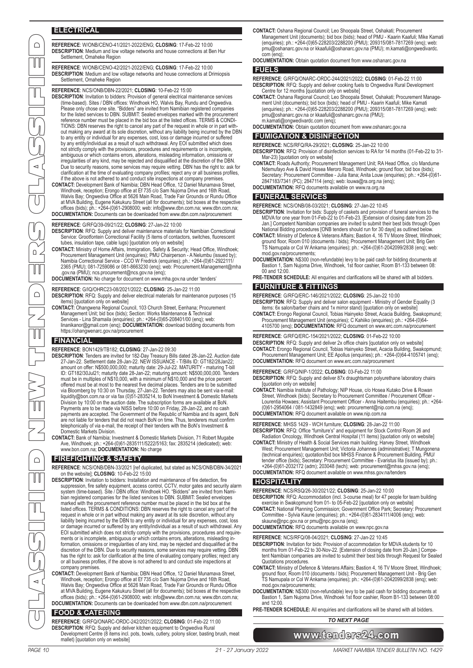## **ELECTRICAL**

**REFERENCE**: W/ONB/CENO-41/2021-2022/ENG; **CLOSING**: 17-Feb-22 10:00 **DESCRIPTION**: Medium and low voltage networks and house connections at Ben Hur Settlement, Omaheke Region

**REFERENCE**: W/ONB/CENO-42/2021-2022/ENG; **CLOSING**: 17-Feb-22 10:00 **DESCRIPTION**: Medium and low voltage networks and house connections at Drimiopsis Settlement, Omaheke Region

**REFERENCE**: NCS/ONB/DBN-22/2021; **CLOSING**: 10-Feb-22 15:00

- **DESCRIPTION**: Invitation to bidders: Provision of general electrical maintenance services (time-based). Sites / DBN offices: Windhoek HO, Walvis Bay, Rundu and Ongwediva. Please only chose one site. "Bidders" are invited from Namibian registered companies<br>for the listed services to DBN. SUBMIT: Sealed envelopes marked with the procurement<br>reference number must be placed in the bid box at th TIONS: DBN reserves the right to cancel any part of the request in whole or in part with-<br>out making any award at its sole discretion, without any liability being incurred by the DBN<br>to any entity or individual for any exp by any entity/individual as a result of such withdrawal. Any EOI submitted which does not strictly comply with the provisions, procedures and requirements or is incomplete, ambiguous or which contains errors, alterations, misleading information, omissions or irregularities of any kind, may be rejected and disqualified at the discretion of the DBN. Due to security reasons, some services may require vetting. DBN has the right to: ask for clarification at the time of evaluating company profiles; reject any or all business profiles, if the above is not adhered to and conduct site inspections at company premises.
- **CONTACT:** Development Bank of Namibia; DBN Head Office, 12 Daniel Munamava Street, Windhoek, reception; Erongo office at Ef 735 c/o Sam Nujoma Drive and 16th Road,<br>Walvis Bay; Ongwediva Office at 5626 Main Road, Trade Fair Grounds or Rundu Office at MVA Building, Eugene Kakukuru Street (all for documents); bid boxes at the respective offices (bids); ph.: +264-(0)61-2908000; web: info@www.dbn.com.na; www.dbn.com.na; **DOCUMENTATION:** Documents can be downloaded from www.dbn.com.na/procurement

**REFERENCE**: G/RFQ/39-09/21/22; **CLOSING**: 27-Jan-22 10:00

**DESCRIPTION**: RFQ: Supply and deliver maintenance materials for Namibian Correctional

Service: Grootfontein Correctional Facility (5 items of contactors, switches, fluorescent<br>tubes, insulation tape, cable lugs) [quotation only on website]<br>**CONTACT:** Ministry of Home Affairs, Immigration, Safety & Security; 2365 (PMU); 081-7259086 or 081-8663230 (enq); web: Procurement.Management@mha .gov.na (PMU); ncs.procurement@ncs.gov.na (enq);

**DOCUMENTATION:** No charge for document on www.mha.gov.na under 'tenders'

- **REFERENCE**: G/IQ/OHRC23-08/2021/2022; **CLOSING**: 25-Jan-22 11:00
- **DESCRIPTION**: RFQ: Supply and deliver electrical materials for maintenance purposes (15 items) [quotation only on website]
- **CONTACT:** Ohangwena Regional Council, 103 Church Street, Eenhana; Procurement Management Unit; bid box (bids); Section: Works Maintenance & Technical<br>Services - Lina Shamaila (enquiries); ph.: +264-(0)65-208401/00 (enq); web:<br>linanikanor@gmail.com (enq); **DOCUMENTATION:** download bidding documents f https://ohangwenarc.gov.na/procurement

## **FINANCIAL**

**REFERENCE**: BON1429/TB182; **CLOSING**: 27-Jan-22 09:30

- DESCRIPTION: Tenders are invited for 182-Day Treasury Bills dated 28-Jan-22. Auction date<br>27-Jan-22. Settlement date 28-Jan-22. NEW ISSUANCE T/Bills ID: GT182/28Jan22;<br>100 amount on offer: N\$500,000,000; maturity date: 2 ID: GT182/30Jul21; maturity date 28-Jan-22; maturing amount: N\$500,000,000. Tenders<br>must be in multiples of N\$10,000, with a minimum of N\$10,000 and the price percent<br>offered must be at most to the nearest five decimal pl Division by 10:00 on the auction date. The subscription forms are available at BoN.<br>Payments are to be made via NISS before 10:00 on Friday, 28-Jan-22, and no cash<br>payments are accepted. The Government of the Republic of N are not liable for tenders that did not reach BoN on time. Thus, tenderers must confirm telephonically of via e-mail, the receipt of their tenders with the BoN's Investment & Domestic Markets Division.
- **CONTACT:** Bank of Namibia; Investment & Domestic Markets Division, 71 Robert Mugabe Ave, Windhoek; ph.: +264-(0)61-2835111/5222/5163; fax: 2835214 (dedicated); web: www.bon.com.na; **DOCUMENTATION:** No charge

## **FIREFIGHTING & SAFETY**

**REFERENCE**: NCS/ONB/DBN-33/2021 [ref duplicated, but stated as NCS/ONB/DBN-34/2021 on the website]; **CLOSING**: 10-Feb-22 15:00

- PAGE 10 21 27 January 2022 MARKET NAMIBIA TENDER BULLETIN NO. 1429 MARKET NAMIBIA TENDER BULLETIN NO. 1429 21 27 January 2022 PAGE 11 CLASSIFIED NEW TENDERS CLASSIFIED **DESCRIPTION**: Invitation to bidders: Installation and maintenance of fire detection, fire suppression, fire safety equipment, access control, CCTV, motor gates and security alarm system (time-based). Site / DBN office: Windhoek HO. "Bidders" are invited from Namibian registered companies for the listed services to DBN. SUBMIT: Sealed envelopes marked with the procurement reference number must be placed in the bid box at the listed offices. TERMS & CONDITIONS: DBN reserves the right to cancel any part of the<br>request in whole or in part without making any award at its sole discretion, without any<br>liability being incurred by the DBN to any entit or damage incurred or suffered by any entity/individual as a result of such withdrawal. Any EOI submitted which does not strictly comply with the provisions, procedures and requirements or is incomplete, ambiguous or which contains errors, alterations, misleading information, omissions or irregularities of any kind, may be rejected and disqualified at the discretion of the DBN. Due to security reasons, some services may require vetting. DBN has the right to: ask for clarification at the time of evaluating company profiles; reject any or all business profiles, if the above is not adhered to and conduct site inspections at company premises.
	- CONTACT: Development Bank of Namibia; DBN Head Office, 12 Daniel Munamava Street,<br>Windhoek, reception; Erongo office at Ef 735 c/o Sam Nujoma Drive and 16th Road,<br>Walvis Bay; Ongwediva Office at 5626 Main Road, Trade Fair at MVA Building, Eugene Kakukuru Street (all for documents); bid boxes at the respective offices (bids); ph.: +264-(0)61-2908000; web: info@www.dbn.com.na; www.dbn.com.na; **DOCUMENTATION:** Documents can be downloaded from www.dbn.com.na/procurement

## **FOOD & CATERING**

**REFERENCE**: G/RFQ/ONARC-ORDC-242/2021/2022; **CLOSING**: 01-Feb-22 11:00 **DESCRIPTION**: RFQ: Supply and deliver kitchen equipment to Ongwediva Rural Development Centre (8 items incl. pots, bowls, cutlery, polony slicer, basting brush, meat mallet) [quotation only on website]

- **CONTACT:** Oshana Regional Council; Leo Shoopala Street, Oshakati; Procurement Management Unit (documents); bid box (bids); head of PMU - Kaarin Kaafuli; Mike Kamati (enquiries); ph.: +264-(0)65-228203/2288200 (PMU); 209315/081-7817269 (enq); web: pmu@oshanarc.gov.na or kkaafuli@oshanarc.gov.na (PMU); m.kamati@ongwedivardc. com (eng)
- **DOCUMENTATION:** Obtain quotation document from www.oshanarc.gov.na

#### **FUELS**

- **REFERENCE**: G/RFQ/ONARC-ORDC-244/2021/2022; **CLOSING**: 01-Feb-22 11:00 **DESCRIPTION**: RFQ: Supply and deliver cooking fuels to Ongwediva Rural Development Centre for 12 months [quotation only on website]
- CONTACT: Oshana Regional Council; Leo Shoopala Street, Oshakati; Procurement Management Unit (documents); bid box (bids); head of PMU Kaarin Kaafuli; Mike Kamati<br>(enquiries); ph.: +264-(0)65-228203/2288200 (PMU); 209315/ pmu@oshanarc.gov.na or kkaafuli@oshanarc.gov.na (PMU); m.kamati@ongwedivardc.com (enq);
- **DOCUMENTATION:** Obtain quotation document from www.oshanarc.gov.na

## **FUMIGATION & DISINFECTION**

**REFERENCE**: NCS/RFQ/RA-29/2021; **CLOSING**: 25-Jan-22 10:00 **DESCRIPTION**: RFQ: Provision of disinfection services to RA for 14 months (01-Feb-22 to 31-

- Mar-23) [quotation only on website] **CONTACT:** Roads Authority; Procurement Management Unit; RA Head Office, c/o Mandume Ndemufayo Ave & David Hosea Meroro Road, Windhoek; ground floor, bid box (bids); Secretary: Procurement Committee - Julia Itana; Anita Louw (enquiries); ph.: +264-(0)61-<br>2847183/7341 (PC); 2847114 (enq); web: louwa@ra.org.na<br>**DOCUMENTATION:** RFQ documents available on www.ra.org.na
- 

## **FUNERAL SERVICES**

**REFERENCE**: NCS/ONB/08-03/2021; **CLOSING**: 27-Jan-22 10:45

- DESCRIPTION: Invitation for bids: Supply of caskets and provision of funeral services to the<br>MDVA for one year from 01-Feb-22 to 01-Feb-23. [Extension of closing date from 20-<br>Jan.] Competent Namibian companies are invited National Bidding procedures [ONB tenders should run for 30 days] as outlined below.
- **CONTACT:** Ministry of Defence & Veterans Affairs; Bastion 4, 16 TV Moore Street, Windhoek; ground floor, Room 010 (documents / bids); Procurement Management Unit; Brig Gen TS Namupala or Col W Ankama (enquiries); ph.: +264-(0)61-2042099/2838 (enq); web: mod.gov.na/procurements;
- **DOCUMENTATION:** N\$300 (non-refundable) levy to be paid cash for bidding documents at Bastion 1, Sam Nujoma Drive, Windhoek, 1st floor cashier, Room B1-133 between 08: 00 and 12:00.

**PRE-TENDER SCHEDULE:** All enquiries and clarifications will be shared with all bidders.

## **FURNITURE & FITTINGS**

**REFERENCE**: G/RFQ/ERC-146/2021/2022; **CLOSING**: 25-Jan-22 10:00

**DESCRIPTION**: RFQ: Supply and deliver salon equipment - Ministry of Gender Equality (3 items: 6x salon/barber chairs and 1x mirror stand) [quotation only on website] **CONTACT:** Erongo Regional Council, Tobias Hainyeko Street, Acacia Building, Swakopmund;

Procurement Management Unit (enquiries); C Kahiiko (enquiries); ph.: +264-(0)64- 4105700 (enq); **DOCUMENTATION:** RFQ document on www.erc.com.na/procurement

**REFERENCE**: G/RFQ/ERC-154/2021/2022; **CLOSING**: 01-Feb-22 10:00

**DESCRIPTION**: RFQ: Supply and deliver 2x office chairs [quotation only on website] **CONTACT:** Erongo Regional Council, Tobias Hainyeko Street, Acacia Building, Swakopmund; Procurement Management Unit; EE Apollus (enquiries); ph.: +264-(0)64-4105741 (enq); **DOCUMENTATION:** RFQ document on www.erc.com.na/procurement

**REFERENCE**: G/RFQ/NIP-1/2022; **CLOSING**: 03-Feb-22 11:00

**DESCRIPTION**: RFQ: Supply and deliver 87x draughtsman polyurethane laboratory chairs

- [quotation only on website] **CONTACT:** Namibia Institute of Pathology; NIP House, c/o Hosea Kutako Drive & Rowan Street, Windhoek (bids); Secretary to Procurement Committee / Procurement Officer Lourentia Howaes; Assistant Procurement Officer - Anna Haitembu (enquiries); ph.: +264-
- (0)61-2954064 / 081-1432849 (enq); web: procurement@nip.com.na (enq); **DOCUMENTATION:** RFQ document available on www.nip.com.na

**REFERENCE**: MHSS 1429 - WCH furniture; **CLOSING**: 28-Jan-22 11:00

**DESCRIPTION**: RFQ: Office "furniture's" and equipment for Stock Control Room 26 and Radiation Oncology, Windhoek Central Hospital (11 items) [quotation only on website]

- **CONTACT:** Ministry of Health & Social Services main building; Harvey Street, Windhoek West; Procurement Management Unit; Victoria Johannes (administrative); T Mungonena (technical enquiries); quotation/bid box MHSS Finance & Procurement Building, PMU/ tender office (bids); Secretary: Procurement Committee - Evaristus Iita (issued by); ph.: +264-(0)61-2032172 (adm); 203048 (tech); web: procurement@mhss.gov.na (enq);
- **DOCUMENTATION:** RFQ document available on www.mhss.gov.na/tenders

## **HOSPITALITY**

**REFERENCE**: NCS/RSQ/26-30/2021/22; **CLOSING**: 25-Jan-22 10:00

**DESCRIPTION**: RFQ: Accommodation (incl. 3-course meal) for 47 people for team building exercise in Swakopmund from 01- to 05-Feb-22 [quotation only on website]

- **CONTACT:** National Planning Commission; Government Office Park; Secretary: Procurement Committee Sylvia Kaune (enquiries); ph.: +264-(0)61-2834111/4006 (enq); web: skaune@npc.gov.na or pmu@npc.gov.na (enq);
- **DOCUMENTATION:** RFQ documents available on www.npc.gov.na

**REFERENCE**: NCS/RFQ/08-04/2021; **CLOSING**: 27-Jan-22 10:45

- **DESCRIPTION**: Invitation for bids: Provision of accommodation for MDVA students for 10 months from 01-Feb-22 to 30-Nov-22. [Extension of closing date from 20-Jan.] Competent Namibian companies are invited to submit their best bids through Request for Sealed Quotations procedures.
- **CONTACT:** Ministry of Defence & Veterans Affairs; Bastion 4, 16 TV Moore Street, Windhoek; ground floor, Room 010 (documents / bids); Procurement Management Unit - Brig Gen TS Namupala or Col W Ankama (enquiries); ph.: +264-(0)61-2042099/2838 (enq); web: mod.gov.na/procurements;
- **DOCUMENTATION:** N\$300 (non-refundable) levy to be paid cash for bidding documents at Bastion 1, Sam Nujoma Drive, Windhoek 1st floor cashier, Room B1-133 between 08:00 and 12:00.

**PRE-TENDER SCHEDULE:** All enquiries and clarifications will be shared with all bidders.

*TO NEXT PAGE*

## www.tenders24.com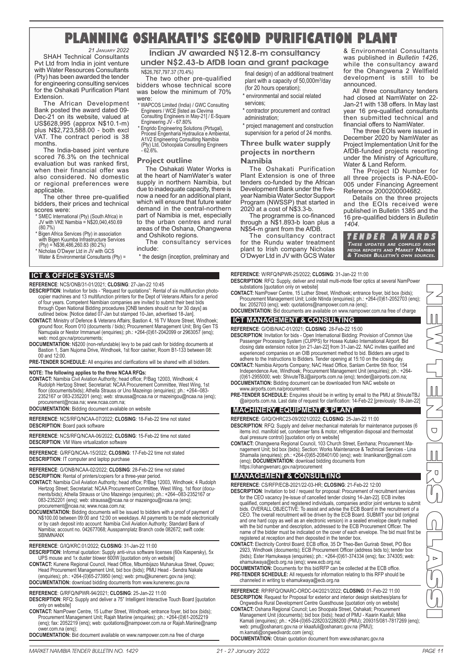## **PLANNING OSHAKATI'S SECOND PURIFICATION PLANT**

*21 JANUARY 2022* SHAH Technical Consultants Pvt Ltd from India in joint venture with Water Resources Consultants (Pty) has been awarded the tender for engineering consulting services for the Oshakati Purification Plant Extension.

The African Development Bank posted the award dated 09- Dec-21 on its website, valued at US\$628,995 (approx N\$10.1-m) plus N\$2,723,588.00 - both excl VAT. The contract period is 38 months.

The India-based joint venture scored 76.3% on the technical evaluation but was ranked first, when their financial offer was also considered. No domestic or regional preferences were applicable.

The other three pre-qualified bidders, their prices and technical scores were:

- \* SMEC International (Pty) (South Africa) in JV with VKE Namibia = N\$20,040,450.69 (80.7%)
- \* Bigen Africa Services (Pty) in association with Bigen Kuumba Infrastructure Services (Pty) = N\$36,486,260.83 (80.2%)
- Nicholas O'Dwyer Ltd in JV with GCS
- Water & Environmental Consultants (Pty) =

## **ICT & OFFICE SYSTEMS**

#### **REFERENCE**: NCS/ONB/31-01/2021; **CLOSING**: 27-Jan-22 10:45

- **DESCRIPTION**: Invitation for bids "Request for quotations": Rental of six multifunction photocopier machines and 13 multifunction printers for the Dept of Veterans Affairs for a period of four years. Competent Namibian companies are invited to submit their best bids
- through Open National Bidding procedures [ONB tenders should run for 30 days] as outlined below. [Notice dated 07-Jan but stamped 10-Jan, advertised 18-Jan]. **CONTACT:** Ministry of Defence & Veterans Affairs; Bastion 4, 16 TV Moore Street, Windhoek; ground floor, Room 010 (documents / bids); Procurement Management Unit; Brig Gen TS Namupala or Nestor Immanuel (enquiries); ph.: +264-(0)61-2042099 or 2963057 (enq);
- web: mod.gov.na/procurements
- **DOCUMENTATION:** N\$200 (non-refundable) levy to be paid cash for bidding documents at Bastion 1, Sam Nujoma Drive, Windhoek, 1st floor cashier, Room B1-133 between 08: 00 and 12:00.
- PRE-TENDER SCHEDULE: All enquiries and clarifications will be shared with all bidders.

## **NOTE: The following applies to the three NCAA RFQs:**

**CONTACT:** Namibia Civil Aviation Authority; head office; P/Bag 12003, Windhoek; 4 Rudolph Hertzog Street; Secretariat: NCAA Procurement Committee, West Wing, 1st floor (documents/bids); Athella Strauss or Uno Mazeingo (enquiries); ph.: +264--083- 2352167 or 083-2352201 (enq); web: straussa@ncaa.na or mazeingou@ncaa.na (enq);

procurement@ncaa.na; www.ncaa.com.na; **DOCUMENTATION:** Bidding document available on website

**REFERENCE**: NCS/RFQ/NCAA-07/2022; **CLOSING**: 18-Feb-22 time not stated **DESCRIPTION**: Board pack software

**REFERENCE**: NCS/RFQ/NCAA-06/2022; **CLOSING**: 15-Feb-22 time not stated **DESCRIPTION**: VM Ware virtualization software

**REFERENCE**: G/RFQ/NCAA-15/2022; **CLOSING**: 17-Feb-22 time not stated **DESCRIPTION**: IT computer and laptop purchase

**REFERENCE**: G/ONB/NCAA-02/2022; **CLOSING**: 28-Feb-22 time not stated **DESCRIPTION**: Rental of printers/copiers for a three-year period.

- **CONTACT:** Namibia Civil Aviation Authority; head office; P/Bag 12003, Windhoek; 4 Rudolph Hertzog Street; Secretariat: NCAA Procurement Committee, West Wing, 1st floor (documents/bids); Athella Strauss or Uno Mazeingo (enquiries); ph.: +264--083-2352167 or 083-2352201 (enq); web: straussa@ncaa.na or mazeingou@ncaa.na (enq); procurement@ncaa.na; www.ncaa.com.na;
- **DOCUMENTATION:** Bidding documents will be issued to bidders with a proof of payment of N\$100.00 between 09:00 and 12;00 on weekdays. All payments to be made electronically<br>or by cash deposit into account: Namibia Civil Aviation Authority; Standard Bank of<br>Namibia; account no. 042677068; Ausspannplatz Branch
- **REFERENCE**: G/IQ/KRC:01/2022; **CLOSING**: 31-Jan-22 11:00

DESCRIPTION: Informal quotation: Supply anti-virus software licenses (60x Kaspersky), 5x<br>UPS mouse and 1x duster blower 600W [quotation only on website]<br>CONTACT: Kunene Regional Council, Head Office, Mbumbijazo Muharukua S

- Head Procurement Management Unit, bid box (bids); PMU Head Sendra Nakale (enquiries); ph.: +264-(0)65-273950 (enq); web: pmu@kunenerc.gov.na (enq);
- **DOCUMENTATION:** download bidding documents from www.kunenerec.gov.na

**REFERENCE**: G/RFQ/NPWR-94/2021; **CLOSING**: 25-Jan-22 11:00

- **DESCRIPTION**: RFQ: Supply and deliver a 75" Intelligent Interactive Touch Board [quotation only on website]
- **CONTACT:** NamPower Centre, 15 Luther Street, Windhoek; entrance foyer, bid box (bids); Procurement Management Unit; Rajah Mariine (enquiries); ph.: +264-(0)61-2052219 (enq); fax: 2052219 (enq); web: quotations@nampower.com.na or Rajah.Mariine@namp wer.com.na (enq)
- **DOCUMENTATION:** Bid document available on www.nampower.com.na free of charge

## Indian JV awarded N\$12.8-m consultancy under N\$2.43-b AfDB loan and grant package

## N\$26,767,797.37 (70.4%)

The two other pre-qualified bidders whose technical score was below the minimum of 70% were:

- \* WAPCOS Limited (India) / GWC Consulting Engineers / WCE [listed as Clevima Consulting Engineers in May-21] / E-Square Engineering JV - 67.80%
- 
- \* Engrido Engineering Solutions (Pirtugal), Procesl Engenharia Hydraulica e Ambiental,
- A1V2 Engineering Consulting Namibia (Pty) Ltd, Oshoopala Consulting Engineers 62.6%.

## **Project outline**

The Oshakati Water Works is at the heart of NamWater's water supply in northern Namibia, but due to inadequate capacity, there is now a need for an additional plant, which will ensure that future water demand in the central-northern part of Namibia is met, especially to the urban centres and rural areas of the Oshana, Ohangwena and Oshikoto regions.

The consultancy services include:

\* the design (inception, preliminary and

final design) of an additional treatment plant with a capacity of 50,000m<sup>3</sup>/day (for 20 hours operation);

\* environmental and social related services;

\* contractor procurement and contract administration;

\* project management and construction supervision for a period of 24 months.

## **Three bulk water supply projects in northern Namibia**

The Oshakati Purification Plant Extension is one of three tenders co-funded by the African Development Bank under the fiveyear Namibia Water Sector Support Program (NWSSP) that started in 2020 at a cost of N\$3.3-b.

The programme is co-financed through a N\$1.893-b loan plus a N\$54-m grant from the AfDB.

The consultancy contract for the Rundu water treatment plant to Irish company Nicholas O'Dwyer Ltd in JV with GCS Water & Environmental Consultants was published in *Bulletin 1426*, while the consultancy award for the Ohangwena 2 Wellfield development is still to be announced.

All three consultancy tenders had closed at NamWater on 22- Jan-21 with 138 offers. In May last year 16 pre-qualified consultants then submitted technical and financial offers to NamWater.

The three EOIs were issued in December 2020 by NamWater as Project Implementation Unit for the AfDB-funded projects resorting under the Ministry of Agriculture, Water & Land Reform.

The Project ID Number for all three projects is P-NA-E00- 005 under Financing Agreement Reference 2000200004682.

Details on the three projects and the EOIs received were published in Bulletin 1385 and the 16 pre-qualified bidders in *Bulletin 1404*.



**REFERENCE**: W/RFQ/NPWR-25/2022; **CLOSING**: 31-Jan-22 11:00 **DESCRIPTION**: RFQ: Supply, deliver and install multi-mode fiber optics at several NamPower substations [quotation only on website]

**CONTACT:** NamPower Centre, 15 Luther Street, Windhoek; entrance foyer, bid box (bids); Procurement Management Unit; Loide Ntinda (enquiries); ph.: +264-(0)61-2052703 (enq); fax: 2052703 (enq); web: quotations@nampower.com.na (enq);

**DOCUMENTATION:** Bid documents are available on www.nampower.com.na free of charge

## **ICT MANAGEMENT & CONSULTING**

- **REFERENCE**: G/OIB/NAC-01/2021; **CLOSING**: 28-Feb-22 15:00
- **DESCRIPTION**: Invitation for bids Open International Bidding: Provision of Common Use Passenger Processing System (CUPPS) for Hosea Kutako International Airport. Bid closing date extension notice [on 21-Jan-22] from 31-Jan-22. NAC invites qualified and experienced companies on an OIB procurement method to bid. Bidders are urged to adhere to the Instructions to Bidders. Tender opening at 15:10 on the closing day.
- **CONTACT:** Namibia Airports Company; NAC Head Office, Sanlam Centre 5th floor, 154 Independence Ave, Windhoek; Procurement Management Unit (enquiries); ph.: +264- (0)61-2955000; web: ShivuteTBJ@airports.com.na (enq); tender@airports.com.na;
- **DOCUMENTATION:** Bidding document can be downloaded from NAC website on www.airports.com.na/procurement.
- **PRE-TENDER SCHEDULE:** Enquires should be in writing by email to the PMU at ShivuteTBJ @airports.com.na. Last date of request for clarification: 14-Feb-22 [previously: 18-Jan-22]

## **MACHINERY, EQUIPMENT & PLANT**

**REFERENCE**: G/IQ/OHRC23-09/2021/2022; **CLOSING**: 25-Jan-22 11:00

- **DESCRIPTION**: RFQ: Supply and deliver mechanical materials for maintenance purposes (6 items incl. manifold set, condenser fans & motor, refrigeration disposal and thermostat dual pressure control) [quotation only on website]
- **CONTACT:** Ohangwena Regional Council, 103 Church Street, Eenhana; Procurement Management Unit; bid box (bids); Section: Works Maintenance & Technical Services - Lina Shamaila (enquiries); ph.: +264-(0)65-208401/00 (enq); web: linanikanor@gmail.com (enq); **DOCUMENTATION:** download bidding documents from https://ohangwenarc.gov.na/procurement

## **MANAGEMENT & CONSULTING**

**REFERENCE**: CS/RFP/ECB-2021/22-03-HR; **CLOSING**: 21-Feb-22 12:00

- DESCRIPTION: Invitation to bid / request for proposal: Procurement of recruitment services<br>for the CEO vacancy [re-issue of cancelled tender closing 14-Jan-22]. ECB invites<br>qualified, competent and registered individuals, bids. OVERALL OBJECTIVE: To assist and advise the ECB Board in the recruitment of a<br>CEO. The overall recruitment will be driven by the ECB Board. SUBMIT your bid (original<br>and one hard copy as well as an electronic version name of the bidder must be indicated on the cover of each envelope. The bid must first be
- registered at reception and then deposited in the tender box. **CONTACT:** Electricity Control Board; ECB office, 35 Dr Theo-Ben Gurirab Street, PO Box 2923, Windhoek (documents); ECB Procurement Officer (address bids to); tender box (bids); Ester Hamukwaya (enquiries); ph.: +264-(0)61-374334 (enq); fax: 374305; web:
- ehamukwaya@ecb.org.na (enq); www.ecb.org.na; **DOCUMENTATION:** Documents for this bid/RFP can be collected at the ECB office. **PRE-TENDER SCHEDULE:** All requests for information relating to this RFP should be channeled in writing to ehamukwaya@ecb.org.na

#### **REFERENCE**: RP/RFQ/ONARC-ORDC-04/2021/2022; **CLOSING**: 01-Feb-22 11:00 **DESCRIPTION**: Request for Proposal for exterior and interior design sketches/plans for Ongwediva Rural Development Centre Guesthouse [quotation only on website]

CONTACT: Oshana Regional Council; Leo Shoopala Street, Oshakati; Procurement<br>Management Unit (documents); bid box (bids); head of PMU - Kaarin Kaafuli; Mike<br>Kamati (enquiries); ph.: +264-(0)65-228203/2288200 (PMU); 209315/ web: pmu@oshanarc.gov.na or kkaafuli@oshanarc.gov.na (PMU); m.kamati@ongwedivardc.com (enq);

**DOCUMENTATION:** Obtain quotation document from www.oshanarc.gov.na

NEW TENDERS SYSTEM

 $\overline{U}$ 

 $\overline{\cup}$ 

 $\mathbb{I}$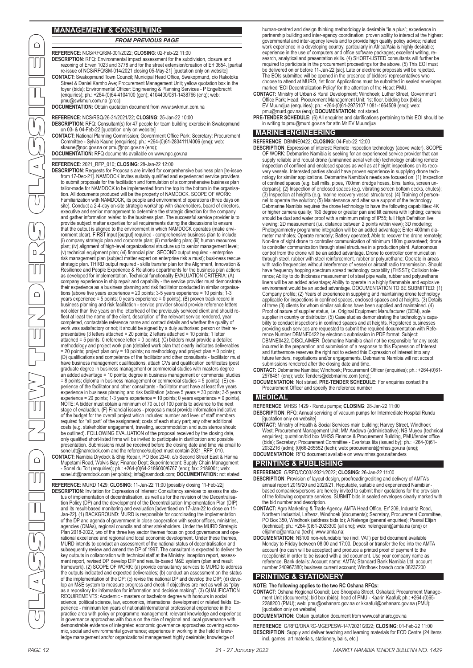## **MANAGEMENT & CONSULTING**

## *FROM PREVIOUS PAGE*

**REFERENCE**: NCS/RFQ/SM-001/2022; **CLOSING**: 02-Feb-22 11:00 **DESCRIPTION**: RFQ: Environmental impact assessment for the subdivision, closure and rezoning of Erven 1023 and 3778 and for the street extension/creation of Erf 3654. [partial re-issue of NCS/RFQ/SM-014/2021 closing 05-May-21] [quotation only on website]<br>CONTACT: Swakopmund Town Council; Municipal Head Office, Swakopmund, c/o Rakotoka<br>Street & Daniel Kamho Ave; Procurement Management Unit; yello foyer (bids); Environmental Officer: Engineering & Planning Services - P Engelbrecht (enquiries); ph.: +264-(0)64-4104100 (gen); 4104400/081-1438766 (enq); web: pmu@swkmun.com.na (proc); **DOCUMENTATION:** Obtain quotation document from www.swkmun.com.na

**REFERENCE**: NCS/RSQ/26-31/2021/22; **CLOSING**: 25-Jan-22 10:00 **DESCRIPTION**: RFQ: Consultant(s) for 47 people for team building exercise in Swakopmund on 03- & 04-Feb-22 [quotation only on website]

**CONTACT:** National Planning Commission; Government Office Park; Secretary: Procurement Committee - Sylvia Kaune (enquiries); ph.: +264-(0)61-2834111/4006 (enq); web: skaune@npc.gov.na or pmu@npc.gov.na (enq);

**DOCUMENTATION:** RFQ documents available on www.npc.gov.na

#### **REFERENCE**: 2021\_RFP\_010; **CLOSING**: 28-Jan-22 12:00

PAGE 12 21 - 27 January 2022 MARKET NAMIBIA TENDER BULLETIN NO. 1429 MARKET NAMIBIA TENDER BULLETIN NO. 1429 MARKET NAMIBIA TENDER BULLETIN NO. 1429 MARKET NAMIBIA TENDER BULLETIN NO. 1429 MARKET NAMIBIA TENDER BULLETIN NO DESCRIPTION: Requests for Proposals are invited for comprehensive business plan [re-issue<br>from 17-Dec-21]. NAMDOCK invites suitably qualified and experienced service providers<br>to submit proposals for the facilitation and f tailor-made for NAMDOCK to be implemented from the top to the bottom in the organisa-tion. All documents produced will be the property of NAMDOCK. SCOPE OF WORK: Familiarization with NAMDOCK, its people and environment of operations (three days on<br>site). Conduct a 2-4-day on-site strategic workshop with shareholders, board of directors,<br>executive and senior management to determine and gather information related to the business plan. The successful service provider is to provide subject matter expertise for all requirements during the discussions to ensure<br>that the output is aligned to the environment in which NAMDOCK operates (make envi-<br>ronment clear). FIRST input [output] required - com plan; (iv) alignment of high-level organizational structure up to senior management level;<br>(v) technical equipment plan; (vi) financial plan. SECOND output required - enterprise<br>risk management plan (subject matter expert strategic plan. THIRD output required - skills transfer plan for the Alignment, Innovation & Resilience and People Experience & Relations departments for the business plan actions as developed for implementation. Technical functionality EVALUATION CRITERIA: (A) company experience in ship repair and capability - the service provider must demonstrate<br>their experience as a business planning and risk facilitator conducted in similar organisa-<br>tions (above five years experience = 20 p business planning and risk facilitation - service provider should provide reference letters not older than five years on the letterhead of the previously serviced client and should re-flect at least the name of the client, description of the relevant service rendered, year completed, contactable reference name and contact details and whether the quality of<br>work was satisfactory or not; it should be signed by a duly authorised person or their re-<br>presentative (3 letters attached = 20 points; attached = 5 points; 0 reference letter = 0 points); (C) bidders must provide a detailed methodology and project work plan (detailed work plan that clearly indicates deliverables = 20 points; project plan only = 10 points; no methodology and project plan = 0 points); (D) qualifications and competence of the facilitator and other consultants - facilitator must have business management qualifications, attach CVs and qualification certificates (post graduate degree in business management or commercial studies with masters degree an added advantage = 10 points; degree in business management or commercial studies = 8 points; diploma in business management or commercial studies = 5 points); (E) experience of the facilitator and other consultants - facilitator must have at least five years experience in business planning and risk facilitation (above 5 years = 30 points; 3-5 years experience = 20 points; 1-3 years experience = 10 points; 0 years experience = 0 points). NOTE: A bidder must obtain a minimum of 70 out of 100 points to advance to the next stage of evaluation. (F) Financial issues - proposals must provide information indicative of the budget for the overall project which includes: number and level of staff members<br>required for "all part" of the assignment; costs of each study part; any other additional<br>costs (e.g. stakeholder engagement, travelin entation. Submissions must be received before the closing date and time via email to sonel.dt@namdock.com and the reference/subject must contain 2021 RFP\_010. **CONTACT:** Namibia Drydock & Ship Repair, PO Box 2340, c/o Second Street East & Hanna

Mupetami Road, Walvis Bay; Finance Dept; Superintendent: Supply Chain Management - Sonel du Toit (enquiries); ph.: +264-(0)64-2186000/6767 (enq); fax: 2186001; web: sonel.dt@namdock.com (enq/bids); info@namdock.com; **DOCUMENTATION:** not stated

**REFERENCE**: MURD 1429; **CLOSING**: 11-Jan-22 11:00 [possibly closing 11-Feb-22] **DESCRIPTION**: Invitation for Expression of Interest: Consultancy services to assess the sta-tus of implementation of decentralisation, as well as for the revision of the Decentralisation Policy (DP) and the development of the Decentralisation Implementation Plan (DIP) and its result-based monitoring and evaluation [advertised on 17-Jan-22 to close on 11- Jan-22]. (1) BACKGROUND: MURD is responsible for coordinating the implementation of the DP and agenda of government in close cooperation with sector offices, ministries, agencies (OMAs), regional councils and other stakeholders. Under the MURD Strategic Plan 2018-2022, two of the three key sector themes focus on good governance and operational excellence and regional and local economic development. Under these themes, MURD intends to conduct an assessment of the national status of decentralisation and subsequently review and amend the DP of 1997. The consultant is expected to deliver the key outputs in collaboration with technical staff at the Ministry: inception report, assessment report, revised DP, develop DIP and results-based M&E system (plan and result framework). (2) SCOPE OF WORK: (a) provide consultancy services to MURD to address the outputs indicated and expected deliverables; (b) conduct an assessment on the status of the implementation of the DP; (c) revise the national DP and develop the DIP; (d) develop an M&E system to measure progress and check if objectives are met as well as "play as a repository for information for information and decision making". (3) QUALIFICATION REQUIREMENTS: Academic - masters or bachelors degree with honours in social science, political science, law, economics, international development or related fields. Ex-perience - minimum ten years of national/international professional experience in the practice area with policy or programme management; relevant knowledge and experience in governance approaches with focus on the role of regional and local governance with demonstrable evidence of integrated economic governance approaches covering economic, social and environmental governance; experience in working in the field of know-ledge management and/or organizational management highly desirable; knowledge of

human-centred and design thinking methodology is desirable "is a plus"; experience in partnership building and inter-agency coordination; proven ability to interact at the highest governmental and inter-agency levels and to provide high quality policy advice; related work experience in a developing country, particularly in Africa/Asia is highly desirable; experience in the use of computers and office software packages; excellent writing, re-search, analytical and presentation skills. (4) SHORT-LISTED consultants will further be required to participate in the procurement proceedings for the above. (5) This EOI must<br>be delivered on or before 11-Jan-22 [sic]. Late or electronic proposals will be rejected.<br>The EOIs submitted will be opened in the pre choose to attend at MURD, 1st floor. Applications must be submitted in sealed envelopes

- marked 'EOI Decentralization Policy' for the attention of the Head: PMU. **CONTACT:** Ministry of Urban & Rural Development; Windhoek; Luther Street, Government Office Park; Head: Procurement Management Unit; 1st floor, bidding box (bids);<br>EV Muundjua (enquiries); ph.: +264-(0)61-2975107 / 081-1664509 (enq); web:<br>pmu@murd.gov.na (enq); **DOCUMENTATION:** not stated.
- **PRE-TENDER SCHEDULE:** (6) All enquiries and clarifications pertaining to this EOI should be in writing to pmu@murd.gov.na for attn Mr EV Muundjua

## **MARINE ENGINEERING**

**REFERENCE**: DBMNE0422; **CLOSING**: 04-Feb-22 12:00

**DESCRIPTION**: Expression of interest: Remote inspection technology (above water). SCOPE OF WORK: Debmarine Namibia is seeking for an experienced service provider that can supply reliable and robust drone (unmanned aerial vehicle) technology enabling remote inspection of confined and enclosed spaces as well as at height inspections on its reco-very vessels. Interested parties should have proven experience in supplying drone technology for similar applications. Debmarine Namibia's needs are focused on: (1) Inspection of confined spaces (e.g. ball mills, pipes, 700mm dredge hoses, bins, tanks, screen underpans); (2) Inspection of enclosed spaces (e.g. vibrating screen bottom decks, chutes); (3) Inspection at heights (e.g. marine recovery vessel structures); (4) Training of person-nel to operate the solution; (5) Maintenance and after sale support of the technology. Debmarine Namibia requires the drone technology to have the following capabilities: 4K<br>or higher camera quality; 180 degree or greater pan and tilt camera with lighting; camera<br>should be dust and water proof with a minimum viewing; 2D measurement (i.e. distance between 2 points within view); 3D modeling; Photogrammetry programme integration will be an added advantage; Enter 400mm diameter manholes; Operate remotely; Battery operated; Able to recover the drone remotely; Non-line of sight drone to controller communication of minimum 180m guaranteed; drone to controller communication through steel structures in a production plant. Autonomous control from the drone will be an added advantage. Drone to controller communication through steel, rubber with steel reinforcement, rubber or polyurethane; Operate in areas with radio frequencies without interference of vessel or aircraft radio transmission. Should have frequency hopping spectrum spread technology capability (FHSST); Collision tole-rance; Ability to do thickness measurement of steel pipe walls, rubber and polyurethane liners will be an added advantage; Ability to operate in a highly flammable and explosive<br>environment would be an added advantage. DOCUMENTATION TO BE SUBMITTED: (1)<br>Company profile; (2) Years of experience in supplying an Proof of nature of supplier status, i.e. Original Equipment Manufacturer (OEM), sole<br>supplier in country or distributor. (5) Case studies demonstrating the technology's capa<br>bility to conduct inspections in confined spaces providing such services are requested to submit the required documentation with Refe-<br>rence Number DBMNE0422 by electronic submission in PDF format. Subject:<br>DBMNE0422. DISCLAIMER: Debmarine Namibia shall not be responsibl incurred in the preparation and submission of a response to this Expression of Interest and furthermore reserves the right not to extend this Expression of Interest into any future tenders, negotiations and/or engagements. Debmarine Namibia will not accept submissions rendered after the closing date and time.

**CONTACT:** Debmarine Namibia; Windhoek; Procurement Officer (enquiries); ph.: +264-(0)61- 2978481 (enq); web: Tenders@debmarine.com (enq);

**DOCUMENTATION:** Not stated. **PRE-TENDER SCHEDULE:** For enquiries contact the Procurement Officer and specify the reference number

#### **MEDICAL**

**REFERENCE**: MHSS 1429 - Rundu pumps; **CLOSING**: 28-Jan-22 11:00 **DESCRIPTION**: RFQ: Annual servicing of vacuum pumps for Intermediate Hospital Rundu

[quotation only on website]

**CONTACT:** Ministry of Health & Social Services main building; Harvey Street, Windhoek West; Procurement Management Unit; MM Andowa (administrative); NS Muyeu (technical enquiries); quotation/bid box MHSS Finance & Procurement Building, PMU/tender office (bids); Secretary: Procurement Committee - Evaristus Iita (issued by); ph.: +264-(0)61- 2032216 (adm); (0)66-265552 (tech); web: procurement@mhss.gov.na (enq); **DOCUMENTATION:** RFQ document available on www.mhss.gov.na/tenders

## **PRINTING & PUBLISHING**

**REFERENCE**: G/RFQ/CC03/-2021/2022; **CLOSING**: 26-Jan-22 11:00

- DESCRIPTION: Provision of layout design, proofreading/editing and delivery of AMTA's<br>annual report 2019/20 and 2020/21. Reputable, suitable and experienced Namibian-<br>based companies/persons are hereby invited to submit the of the following corporate services. SUBMIT bids in sealed envelopes clearly marked with the bid number and description.
- **CONTACT:** Agro Marketing & Trade Agency, AMTA Head Office, Erf 209, Industria Road, Northern Industrial, Lafrenz, Windhoek (documents); Secretary, Procurement Committee, PO Box 350, Windhoek (address bids to); A Nelenge (general enquiries); Pasval Elijah (technical); ph.: +264-(0)61-2023300 (all enq); web: nelengean@amta.na (enq) or elijahme@amta.na (tech); www.amta.na;
- **DOCUMENTATION:** N\$100 non-refundable fee (incl. VAT) per bid document available Monday to Friday between 08:00 and 17:00. Deposit or transfer the fee into the AMTA account (no cash will be accepted) and produce a printed proof of payment to the<br>receptionist in order to be issued with a bid document. Use your company name as<br>reference. Bank details: Account name: AMTA; Standard Bank N number 240967380; business current account; Windhoek branch code 08237200

## **PRINTING & STATIONERY**

**NOTE: The following applies to the two RC Oshana RFQs:**

CONTACT: Oshana Regional Council; Leo Shoopala Street, Oshakati; Procurement Manage-<br>ment Unit (documents); bid box (bids); head of PMU - Kaarin Kaafuli; ph.: +264-(0)65-<br>2288200 (PMU); web: pmu@oshanarc.gov.na or kkaafuli [quotation only on website] **DOCUMENTATION:** Obtain quotation document from www.oshanarc.gov.na

**REFERENCE**: G/RFQ/ONARC-MGEPESW-147/2021/2022; **CLOSING**: 01-Feb-22 11:00 **DESCRIPTION**: Supply and deliver teaching and learning materials for ECD Centre (24 items incl. games, art materials, stationery, balls, etc.)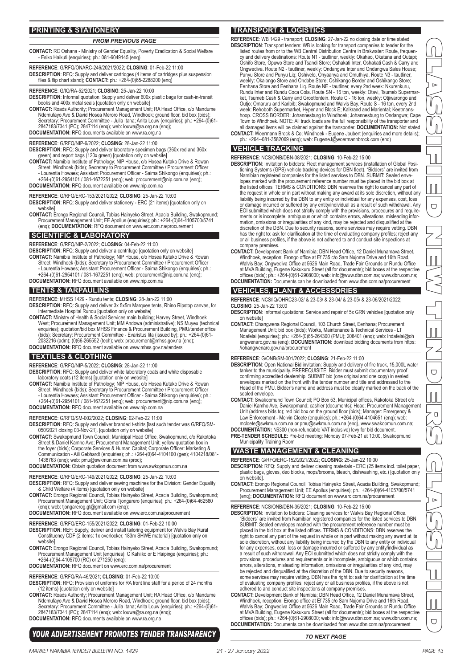## **PRINTING & STATIONERY**

## *FROM PREVIOUS PAGE* **CONTACT:** RC Oshana - Ministry of Gender Equality, Poverty Eradication & Social Welfare - Esiko Haikuti (enquiries); ph.: 081-6049145 (enq)

**REFERENCE**: G/RFQ/ONARC-246/2021/2022; **CLOSING**: 01-Feb-22 11:00 **DESCRIPTION**: RFQ: Supply and deliver cartridges (4 items of cartridges plus suspension files & flip chart stand); **CONTACT:** ph.: +264-(0)65-2288200 (enq)

**REFERENCE**: G/IQ/RA-52/2021; **CLOSING**: 25-Jan-22 10:00

**DESCRIPTION**: Informal quotation: Supply and deliver 600x plastic bags for cash-in-transit books and 400x metal seals [quotation only on website]

CONTACT: Roads Authority; Procurement Management Unit; RA Head Office, c/o Mandume<br>Ndemufayo Ave & David Hosea Meroro Road, Windhoek; ground floor, bid box (bids);<br>Secretary: Procurement Committee - Julia Itana; Anita Louw 2847183/7341 (PC); 2847114 (enq); web: louwa@ra.org.na (enq); **DOCUMENTATION:** RFQ documents available on www.ra.org.na

#### **REFERENCE**: G/RFQ/NIP-6/2022; **CLOSING**: 28-Jan-22 11:00

**DESCRIPTION**: RFQ: Supply and deliver laboratory specimen bags (360x red and 360x green) and report bags (120x green) [quotation only on website]

**CONTACT:** Namibia Institute of Pathology; NIP House, c/o Hosea Kutako Drive & Rowan Street, Windhoek (bids); Secretary to Procurement Committee / Procurement Officer - Lourentia Howaes; Assistant Procurement Officer - Saima Shikongo (enquiries); ph.: +264-(0)61-2954101 / 081-1672251 (enq); web: procurement@nip.com.na (enq); **DOCUMENTATION:** RFQ document available on www.nip.com.na

**REFERENCE**: G/RFQ/ERC-153/2021/2022; **CLOSING**: 25-Jan-22 10:00 **DESCRIPTION**: RFQ: Supply and deliver stationery - ERC (21 items) [quotation only on woheite

**CONTACT:** Erongo Regional Council, Tobias Hainyeko Street, Acacia Building, Swakopmund; Procurement Management Unit; EE Apollus (enquiries); ph.: +264-(0)64-4105700/5741 (enq); **DOCUMENTATION:** RFQ document on www.erc.com.na/procurement

## **SCIENTIFIC & LABORATORY**

**REFERENCE**: G/RFQ/NIP-2/2022; **CLOSING**: 04-Feb-22 11:00

- **DESCRIPTION**: RFQ: Supply and deliver a centrifuge [quotation only on website]
- **CONTACT:** Namibia Institute of Pathology; NIP House, c/o Hosea Kutako Drive & Rowan Street, Windhoek (bids); Secretary to Procurement Committee / Procurement Officer
	-
- Lourentia Howaes; Assistant Procurement Officer Saima Shikongo (enquiries); ph.: +264-(0)61-2954101 / 081-1672251 (enq); web: procurement@nip.com.na (enq); **DOCUMENTATION:** RFQ document available on www.nip.com.na

## **TENTS & TARPAULINS**

**REFERENCE**: MHSS 1429 - Rundu tents; **CLOSING**: 28-Jan-22 11:00

- **DESCRIPTION**: RFQ: Supply and deliver 3x 5x5m Marquee tents, Rhino Ripstop canvas, for Intermediate Hospital Rundu [quotation only on website]
- **CONTACT:** Ministry of Health & Social Services main building; Harvey Street, Windhoek West; Procurement Management Unit; MM Andowa (administrative); NS Muyeu (technical enquiries); quotation/bid box MHSS Finance & Procurement Building, PMU/tender office (bids); Secretary: Procurement Committee - Evaristus Iita (issued by); ph.: +264-(0)61- 2032216 (adm); (0)66-265552 (tech); web: procurement@mhss.gov.na (enq);
- **DOCUMENTATION:** RFQ document available on www.mhss.gov.na/tenders

## **TEXTILES & CLOTHING**

- **REFERENCE**: G/RFQ/NIP-5/2022; **CLOSING**: 28-Jan-22 11:00
- **DESCRIPTION**: RFQ: Supply and deliver white laboratory coats and white disposable laboratory coats (12 items) [quotation only on website]
- CONTACT: Namibia Institute of Pathology; NIP House, c/o Hosea Kutako Drive & Rowan<br>Street, Windhoek (bids); Secretary to Procurement Committee / Procurement<br>- Lourentia Howaes; Assistant Procurement Officer Saima Shikong **DOCUMENTATION:** RFQ document available on www.nip.com.na
- **REFERENCE**: G/RFQ/SM-002/2022; **CLOSING**: 02-Feb-22 11:00

DESCRIPTION: RFQ: Supply and deliver branded t-shirts [last such tender was G/RFQ/SM-<br>050/2021 closing 03-Nov-21]. [quotation only on website]<br>CONTACT: Swakopmund Town Council; Municipal Head Office, Swakopmund, c/o Rakoto

Street & Daniel Kamho Ave; Procurement Management Unit; yellow quotation box in the foyer (bids); Corporate Services & Human Capital; Corporate Officer: Marketing & Communication - Aili Gebhardt (enquiries); ph.: +264-(0)64-4104100 (gen); 4104218/081- 1438763 (enq); web: pmu@swkmun.com.na (proc); **DOCUMENTATION:** Obtain quotation document from www.swkopmun.com.na

## **REFERENCE**: G/RFQ/ERC-149/2021/2022; **CLOSING**: 25-Jan-22 10:00

- **DESCRIPTION**: RFQ: Supply and deliver sewing machines for the Division: Gender Equality & Child Welfare (4 items) [quotation only on website]
- **CONTACT:** Erongo Regional Council, Tobias Hainyeko Street, Acacia Building, Swakopmund; Procurement Management Unit; Gloria Tjongarero (enquiries); ph.: +264-(0)64-462580 (enq); web: tjongarerog.gt@gmail.com (enq);
- **DOCUMENTATION:** RFQ document available on www.erc.com.na/procurement
- **REFERENCE**: G/RFQ/ERC-155/2021/2022; **CLOSING**: 01-Feb-22 10:00
- **DESCRIPTION**: REF: Supply, deliver and install tailoring equipment for Walvis Bay Rural Constituency CDF (2 items: 1x overlocker, 183m SHWE material) [quotation only on website]
- **CONTACT:** Erongo Regional Council, Tobias Hainyeko Street, Acacia Building, Swakopmund; Procurement Management Unit (enquiries); C Kahiiko or E Haipinge (enquiries); ph.: +264-(0)64-4105700 (RC) or 271250 (enq);
- **DOCUMENTATION:** RFQ document on www.erc.com.na/procurement
- **REFERENCE**: G/RFQ/RA-46/2021; **CLOSING**: 01-Feb-22 10:00
- **DESCRIPTION**: RFQ: Provision of uniforms for RA front line staff for a period of 24 months
- (12 items) [quotation only on website]<br>CONTACT: Roads Authority; Procurement Management Unit; RA Head Office, c/o Mandume<br>Nelemufayo Ave & David Hosea Meroro Road, Windhoek; ground floor, bid box (bids);<br>Secretary: Procure 2847183/7341 (PC); 2847114 (enq); web: louwa@ra.org.na (enq);

**DOCUMENTATION:** RFQ documents available on www.ra.org.na

## *YOUR ADVERTISEMENT PROMOTES TENDER TRANSPARENCY TO NEXT PAGE*

**REFERENCE**: WB 1429 - transport; **CLOSING**: 27-Jan-22 no closing date or time stated **DESCRIPTION**: Transport tenders: WB is looking for transport companies to tender for the listed routes from or to the WB Central Distribution Centre in Brakwater: Route, frequency and delivery destinations: Route N1 - tautliner, weekly: Okahao, Okatana and Outapi; Oshifo Store, Opuwo Store and Tsandi Store; Oshakati Inter, Oshakati Cash & Carry and Ongwediva. Route N2 - tautliner, weekly: Ondangwa Inter and Ondangwa Sales House;

Punyu Store and Punyu Liq; Oshivelo, Onyaanya and Omuthiya. Route N3 - tautliner,<br>weekly: Okalongo Store and Ondobe Store; Oshikango Border and Oshikango Store;<br>Eenhana Store and Eenhana Liq. Route NE - tautliner, every 2n Outjo; Omaruru and Karibib; Swakopmund and Walvis Bay. Route S - 16 ton, every 2nd<br>week: Rehoboth Supermarket, Hyper and Block E; Kalkrand and Mariental; Keetmans-<br>hoop. CROSS BORDER: Johannesburg to Windhoek; Johannesburg

**CONTACT:** Woermann Brock & Co; Windhoek - Eugene Joubert (enquiries and more details); ph.: +264--081-3582069 (enq); web: EugeneJ@woermannbrock.com (enq)

## **VEHICLE TRACKING**

**REFERENCE**: NCS/ONB/DBN-08/2021; **CLOSING**: 10-Feb-22 15:00

- DESCRIPTION: Invitation to bidders: Fleet management services (installation of Global Posi-<br>tioning Systems (GPS) vehicle tracking devices for DBN fleet). "Bidders" are invited from<br>Namibian registered companies for the li lopes marked with the procurement reference number must be placed in the bid box at the listed offices. TERMS & CONDITIONS: DBN reserves the right to cancel any part of the request in whole or in part without making any award at its sole discretion, without any<br>liability being incurred by the DBN to any entity or individual for any expenses, cost, loss<br>or damage incurred or suffered by an EOI submitted which does not strictly comply with the provisions, procedures and require-ments or is incomplete, ambiguous or which contains errors, alterations, misleading information, omissions or irregularities of any kind, may be rejected and disqualified at the discretion of the DBN. Due to security reasons, some services may require vetting. DBN<br>has the right to: ask for clarification at the time of evaluating company profiles; reject any<br>or all business profiles, if the above i company premises.
- CONTACT: Development Bank of Namibia; DBN Head Office, 12 Daniel Munamava Street,<br>Windhoek, reception; Erongo office at Ef 735 c/o Sam Nujoma Drive and 16th Road,<br>Walvis Bay; Ongwediva Office at 5626 Main Road, Trade Fair at MVA Building, Eugene Kakukuru Street (all for documents); bid boxes at the respective offices (bids); ph.: +264-(0)61-2908000; web: info@www.dbn.com.na; www.dbn.com.na; **DOCUMENTATION:** Documents can be downloaded from www.dbn.com.na/procurement

## **VEHICLES, PLANT & ACCESSORIES**

**REFERENCE**: NCS/IQ/OHRC23-02/ & 23-03/ & 23-04/ & 23-05/ & 23-06/2021/2022; **CLOSING**: 25-Jan-22 13:00

- **DESCRIPTION:** Informal quotations: Service and repair of 5x GRN vehicles [quotation only on website]
- CONTACT: Ohangwena Regional Council, 103 Church Street, Eenhana; Procurement<br>Management Unit; bid box (bids); Works, Maintenance & Technical Services LT<br>Ndafelai (enquiries); ph.: +264-(0)65-264300 (PMU); 208401 (enq); w angwenarc.gov.na (enq); **DOCUMENTATION:** download bidding documents from https: //ohangwenarc.gov.na/procurement

**REFERENCE**: G/ONB/SM-001/2022; **CLOSING**: 21-Feb-22 11:00

- **DESCRIPTION**: Open National Bid invitation: Supply and delivery of fire truck, 15,000L water tanker to the municipality. PREREQUISITE: Bidder must submit documentary proof confirming accredited dealership. SUBMIT bid (one original and one copy) in sealed envelopes marked on the front with the tender number and title and addressed to the Head of the PMU. Bidder's name and address must be clearly marked on the back of the sealed envelope
- CONTACT: Swakopmund Town Council; PO Box 53, Municipal offices, Rakotoka Street c/o<br>Daniel Kamho Ave, Swakopmund; cashier (documents); Head: Procurement Management<br>Unit (address bids to); red bid box on the ground floor (b

**DOCUMENTATION:** N\$300 (non-refundable VAT inclusive) levy for bid document.

**PRE-TENDER SCHEDULE:** Pre-bid meeting: Monday 07-Feb-21 at 10:00, Swakopmund Municipality Training Room

## **WASTE MANAGEMENT & CLEANING**

**REFERENCE**: G/RFQ/ERC-152/2021/2022; **CLOSING**: 25-Jan-22 10:00

- **DESCRIPTION**: RFQ: Supply and deliver cleaning materials ERC (25 items incl. toilet paper, plastic bags, gloves, deo blocks, mops/brooms, bleach, dishwashing, etc.) [quotation only on website].
- **CONTACT:** Erongo Regional Council, Tobias Hainyeko Street, Acacia Building, Swakopmund; Procurement Management Unit; EE Apollus (enquiries); ph.: +264-(0)64-4105700/5741 (enq); **DOCUMENTATION:** RFQ document on www.erc.com.na/procurement

**REFERENCE**: NCS/ONB/DBN-35/2021; **CLOSING**: 10-Feb-22 15:00

- **DESCRIPTION**: Invitation to bidders: Cleaning services for Walvis Bay Regional Office. "Bidders" are invited from Namibian registered companies for the listed services to DBN. SUBMIT: Sealed envelopes marked with the procurement reference number must be placed in the bid box at the listed offices. TERMS & CONDITIONS: DBN reserves the right to cancel any part of the request in whole or in part without making any award at its sole discretion, without any liability being incurred by the DBN to any entity or individual for any expenses, cost, loss or damage incurred or suffered by any entity/individual as a result of such withdrawal. Any EOI submitted which does not strictly comply with the provisions, procedures and requirements or is incomplete, ambiguous or which contains errors, alterations, misleading information, omissions or irregularities of any kind, may be rejected and disqualified at the discretion of the DBN. Due to security reasons, some services may require vetting. DBN has the right to: ask for clarification at the time of evaluating company profiles; reject any or all business profiles, if the above is not
- adhered to and conduct site inspections at company premises. **CONTACT:** Development Bank of Namibia; DBN Head Office, 12 Daniel Munamava Street, Windhoek, reception; Erongo office at Ef 735 c/o Sam Nujoma Drive and 16th Road, Walvis Bay; Ongwediva Office at 5626 Main Road, Trade Fair Grounds or Rundu Office at MVA Building, Eugene Kakukuru Street (all for documents); bid boxes at the respective offices (bids); ph.: +264-(0)61-2908000; web: info@www.dbn.com.na; www.dbn.com.na; **DOCUMENTATION:** Documents can be downloaded from www.dbn.com.na/procurement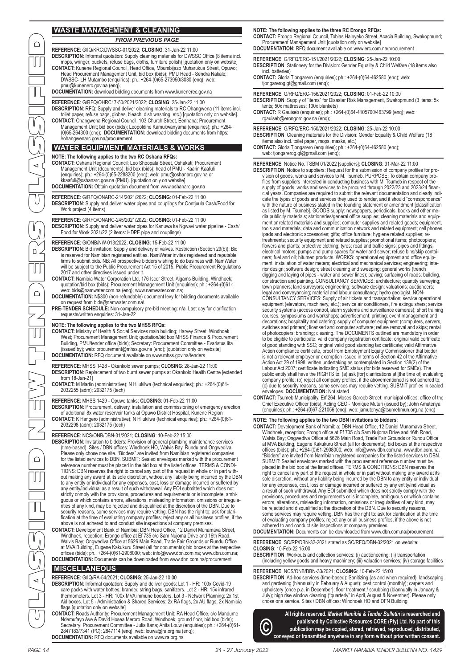## **WASTE MANAGEMENT & CLEANING**

**REFERENCE**: G/IQ/KRC:DWSSC-01/2022; **CLOSING**: 31-Jan-22 11:00

**DESCRIPTION**: Informal quotation: Supply cleaning materials for DWSSC Office (8 items incl. mops, wringer, buckets, refuse bags, cloths, furniture polish) [quotation only on website] CONTACT: Kunene Regional Council, Head Office, Mbumbijazo Muharukua Street, Opuwo;<br>Head Procurement Management Unit, bid box (bids); PMU Head - Sendra Nakale;<br>DWSSC- LH Mutambo (enquiries); ph.: +264-(0)65-273950/3030 (enq

*FROM PREVIOUS PAGE*

pmu@kunenerc.gov.na (enq);

**DOCUMENTATION:** download bidding documents from www.kunenerec.gov.na

**REFERENCE**: G/RFQ/OHRC17-50/2021/2022; **CLOSING**: 25-Jan-22 11:00

**DESCRIPTION**: RFQ: Supply and deliver cleaning materials to RC Ohangwena (11 items incl. toilet paper, refuse bags, globes, bleach, dish washing, etc.) [quotation only on website].<br>CONTACT: Ohangwena Regional Council, 103 Church Street, Eenhana; Procurement<br>Management Unit; bid box (bids); Leopoldine Kamukwan

## **WATER EQUIPMENT, MATERIALS & WORKS**

//ohangwenarc.gov.na/procurement

**NOTE: The following applies to the two RC Oshana RFQs: CONTACT:** Oshana Regional Council; Leo Shoopala Street, Oshakati; Procurement Management Unit (documents); bid box (bids); head of PMU - Kaarin Kaafuli (enquiries); ph.: +264-(0)65-2288200 (enq); web: pmu@oshanarc.gov.na or kkaafuli@oshanarc.gov.na (PMU). [quotation only on website] **DOCUMENTATION:** Obtain quotation document from www.oshanarc.gov.na

## **REFERENCE**: G/RFQ/ONARC-214/2021/2022; **CLOSING**: 01-Feb-22 11:00

**DESCRIPTION**: Supply and deliver water pipes and couplings for Oontjuula Cash/Food for Work project (4 items)

**REFERENCE**: G/RFQ/ONARC-245/2021/2022; **CLOSING**: 01-Feb-22 11:00

**DESCRIPTION**: Supply and deliver water pipes for Kanuwa ka Ngwavi water pipeline - Cash/ Food for Work 2021/22 (2 items: HDPE pipe and couplings)

#### **REFERENCE**: G/ONB/NW-013/2022; **CLOSING**: 15-Feb-22 11:00

- **DESCRIPTION**: Bid invitation: Supply and delivery of valves. Restriction (Section 29(b)): Bid is reserved for Namibian registered entities. NamWater invites registered and reputable<br>firms to submit bids. NB: All prospective bidders wishing to do business with NamWater<br>will be subject to the Public Procurement Act 1
- **CONTACT:** Namibia Water Corporation Ltd, 176 Iscor Street, Aigams Building, Windhoek; quotation/bid box (bids); Procurement Management Unit (enquiries); ph.: +264-(0)61-;
- web: bids@namwater.com.na (enq); www.namwater.com.na; **DOCUMENTATION:** N\$300 (non-refundable) document levy for bidding documents available on recent from bids@namwater.com.na\.
- **PRE-TENDER SCHEDULE:** Non-compulsory pre-bid meeting: n/a. Last day for clarification requests/written enquiries: 31-Jan-22

#### **NOTE: The following applies to the two MHSS RFQs:**

- **CONTACT:** Ministry of Health & Social Services main building; Harvey Street, Windhoek West; Procurement Management Unit; quotation/bid box MHSS Finance & Procurement Building, PMU/tender office (bids); Secretary: Procurement Committee - Evaristus Iita (issued by); web: procurement@mhss.gov.na (enq); [quotation only on website] **DOCUMENTATION:** RFQ document available on www.mhss.gov.na/tenders
- **REFERENCE**: MHSS 1428 Okankolo sewer pumps; **CLOSING**: 28-Jan-22 11:00 **DESCRIPTION**: Replacement of two burnt sewer pumps at Okankolo Health Centre [extended from 18-Jan-21]
- **CONTACT:** M Martin (administrative); N Hilukilwa (technical enquiries); ph.: +264-(0)61- 2032255 (adm); 2032175 (tech)

## **REFERENCE**: MHSS 1429 - Opuwo tanks; **CLOSING**: 01-Feb-22 11:00

**DESCRIPTION**: Procurement, delivery, installation and commissioning of emergency erection of additional 8x water reservoir tanks at Opuwo District Hospital, Kunene Region **CONTACT:** K Hangero (administrative); N Hilukilwa (technical enquiries); ph.: +264-(0)61- 2032298 (adm); 2032175 (tech)

- REFERENCE: NCS/ONB/DBN-31/2021; CLOSING: 10-Feb-22 15:00<br>DESCRIPTION: Invitation to bidders: Provision of general plumbing maintenance services<br>time-based). Sites / DBN offices: Windhoek HO, Walvis Bay, Rundu and Ongwediva Please only chose one site. "Bidders" are invited from Namibian registered companies<br>for the listed services to DBN. SUBMIT: Sealed envelopes marked with the procurement<br>reference number must be placed in the bid box at th TIONS: DBN reserves the right to cancel any part of the request in whole or in part with-out making any award at its sole discretion, without any liability being incurred by the DBN to any entity or individual for any expenses, cost, loss or damage incurred or suffered by any entity/individual as a result of such withdrawal. Any EOI submitted which does not strictly comply with the provisions, procedures and requirements or is incomplete, ambiguous or which contains errors, alterations, misleading information, omissions or irregula-rities of any kind, may be rejected and disqualified at the discretion of the DBN. Due to security reasons, some services may require vetting. DBN has the right to: ask for clarification at the time of evaluating company profiles; reject any or all business profiles, if the above is not adhered to and conduct site inspections at company premises.
- **CONTACT:** Development Bank of Namibia; DBN Head Office, 12 Daniel Munamava Street, Windhoek, reception; Erongo office at Ef 735 c/o Sam Nujoma Drive and 16th Road,<br>Walvis Bay; Ongwediva Office at 5626 Main Road, Trade Fair Grounds or Rundu Office at MVA Building, Eugene Kakukuru Street (all for documents); bid boxes at the respective<br>offices (bids); ph.: +264-(0)61-2908000; web: info@www.dbn.com.na; www.dbn.com.na;<br>DOCUMENTATION: Documents can be downloaded from ww

## **MISCELLANEOUS**

- REFERENCE: G/IQ/RA-54/2021; CLOSING: 25-Jan-22 10:00<br>DESCRIPTION: Informal quotation: Supply and deliver goods: Lot 1 HR: 100x Covid-19<br>care packs with water bottles, branded string bags, sanitizers. Lot 2 HR: 15x infr thermometers. Lot 3 - HR: 100x MVA immune boosters. Lot 3 - Network Planning: 2x 1st Aid boxes. Lot 5 - Administration & Shared Services: 2x RA flags, 2x AU flags, 2x Namibia flags [quotation only on website]
- CONTACT: Roads Authority; Procurement Management Unit; RA Head Office, c/o Mandume<br>Nemufayo Ave & David Hosea Meroro Road, Windhoek; ground floor, bid box (bids);<br>Secretary: Procurement Committee Julia Itana; Anita Louw **DOCUMENTATION:** RFQ documents available on www.ra.org.na

#### **NOTE: The following applies to the three RC Erongo RFQs:**

**CONTACT:** Erongo Regional Council, Tobias Hainyeko Street, Acacia Building, Swakopmund; Procurement Management Unit [quotation only on website]

**DOCUMENTATION:** RFQ document available on www.erc.com.na/procurement **REFERENCE**: G/RFQ/ERC-151/2021/2022; **CLOSING**: 25-Jan-22 10:00

- **DESCRIPTION**: Stationery for the Division: Gender Equality & Child Welfare (18 items also incl. batteries)
- **CONTACT:** Gloria Tjongarero (enquiries); ph.: +264-(0)64-462580 (enq); web: tjongarerog.gt@gmail.com (enq);
- **REFERENCE**: G/RFQ/ERC-156/2021/2022; **CLOSING**: 01-Feb-22 10:00
- **DESCRIPTION**: Supply of "items" for Disaster Risk Management, Swakopmund (3 items: 5x tents; 50x mattresses; 100x blankets)
- **CONTACT:** R Gauiseb (enquiries); ph.: +264-(0)64-4105700/463799 (enq); web: rgauiseb@erongorc.gov.na (enq);

**REFERENCE**: G/RFQ/ERC-150/2021/2022; **CLOSING**: 25-Jan-22 10:00 **DESCRIPTION**: Cleaning materials for the Division: Gender Equality & Child Welfare (18 items also incl. toilet paper, mops, masks, etc.)

**CONTACT:** Gloria Tjongarero (enquiries); ph.: +264-(0)64-462580 (enq); web: tjongarerog.gt@gmail.com (enq);

PAGE 14 21 - 27 January 2022 MARKET NAMIBIA TENDER BULLETIN NO. 1429 MARKET NAMIBIA TENDER BULLETIN NO. 1429 21 - 27 January 2022 PAGE 15 CLASSIFIED NEW TENDERS CLASSIFIED **REFERENCE**: Notice No. TSBM 01/2022 [suppliers]; **CLOSING**: 31-Mar-22 11:00 **DESCRIPTION**: Notice to suppliers: Request for the submission of company profiles for provision of goods, works and services to M. Tsumeb. PURPOSE: To obtain company profiles from suppliers interested in conducting business with M. Tsumeb in respect of the<br>supply of goods, works and services to be procured through 2022/23 and 2023/24 finan-<br>cial years. Companies are required to submit the cate the types of goods and services they used to render, and it should "correspondence" with the nature of business stated in the founding statement or amendment [classification as listed by M. Tsumeb]. GOODS supply: newspapers, periodicals, books and other me-<br>dia publicity materials; stationeries/general office supplies; cleaning materials and equip-<br>ment or related materials and supplies; comp tools and materials; data and communication network and related equipment; cell phones.<br>ipads and electronic accessories; gifts; office furniture; hygiene related supplies; re-<br>freshments; security equipment and related su flowers and plants; protective clothing; tyres; road and traffic signs; pipes and fittings; electrical motors; pumps and pump spares for water and sewer; refuse bins/skip containers; fuel and oil; bitumen products. WORKS: operational equipment and office equip-ment; installation of water meters; electrical and mechanical services; engineering; interior design; software design; street cleaning and sweeping; general works (trench digging and laying of pipes - water and sewer lines); paving; surfacing of roads; building, construction and painting. CONSULTANCY SERVICES: architecture; quantity surveying; town planners; land surveyors; engineering; software design; valuations; auctioneers;<br>legal and conveyancing; material and labour consultancy; hydro geologist. NON-<br>CONSULTANCY SERVICES: Supply of air tickets and transport equipment (elevators, machinery, etc.); service air conditioners, fire extinguishers; service security systems (access control, alarm systems and surveillance cameras); short training courses, symposiums and workshops; advertisement; printing; event management and decorations; hospitality and catering; supply of computer equipment (computers, servers, switches and printers); licensed and computer software; refuse removal and skips; rental of photocopiers; branding; cleaning. The DOCUMENTS outlined are mandatory in order<br>to be eligible to participate: valid company registration certificate; original valid certificate<br>of good standing with SSC; original valid Action compliance certificate, proof from Employment Equity Commissioner that bidder is not a relevant employer or exemption issued in terms of Section 42 of the Affirmative Action Act 29 of 1998; written undertaking as contemplated in Section 138(2) of the<br>Labour Act 2007; certificate indicating SME status (for bids reserved for SMEs). The<br>public entity shall have the RIGHTS to: (a) ask [for] company profile; (b) reject all company profiles, if the abovementioned is not adhered to; (c) due to security reasons, some services may require vetting. SUBMIT profiles in sealed envelopes. **DOCUMENTATION:** Not stated

**CONTACT:** Tsumeb Municipality, Erf 264, Moses Garoeb Street; municipal offices; office of the Chief Executive Officer (bids); Acting CEO - Monique Muturi (issued by); John Amutenya (enquiries); ph.: +264-(0)67-221056 (enq); web: jamutenya@tsumebmun.org.na (enq)

## **NOTE: The following applies to the two DBN invitations to bidders:**

**CONTACT:** Development Bank of Namibia; DBN Head Office, 12 Daniel Munamava Street, Windhoek, reception; Erongo office at Ef 735 c/o Sam Nujoma Drive and 16th Road, Walvis Bay; Ongwediva Office at 5626 Main Road, Trade Fair Grounds or Rundu Office at MVA Building, Eugene Kakukuru Street (all for documents); bid boxes at the respective offices (bids); ph.: +264-(0)61-2908000; web: info@www.dbn.com.na; www.dbn.com.na. "Bidders" are invited from Namibian registered companies for the listed services to DBN. SUBMIT: Sealed envelopes marked with the procurement reference number must be placed in the bid box at the listed offices. TERMS & CONDITIONS: DBN reserves the right to cancel any part of the request in whole or in part without making any award at its sole discretion, without any liability being incurred by the DBN to any entity or individual for any expenses, cost, loss or damage incurred or suffered by any entity/individual as a result of such withdrawal. Any EOI submitted which does not strictly comply with the provisions, procedures and requirements or is incomplete, ambiguous or which contains errors, alterations, misleading information, omissions or irregularities of any kind, may<br>be rejected and disqualified at the discretion of the DBN. Due to security reasons,<br>some services may require vetting. DBN has the r

## **DOCUMENTATION:** Documents can be downloaded from www.dbn.com.na/procurement

**REFERENCE**: SC/RP/DBN-32-2021 stated as SC/RFQ/DBN-32/2021 on website; **CLOSING**: 10-Feb-22 15:00

**DESCRIPTION**: Workouts and collection services: (i) auctioneering; (ii) transportation (including yellow goods and heavy machinery; (iii) valuation services; (iv) storage facilities

#### **REFERENCE**: NCS/ONB/DBN-33/2021; **CLOSING**: 10-Feb-22 15:00

**DESCRIPTION**: Ad-hoc services (time-based): Sanitizing (as and when required); landscaping and gardening (biannually in February & August); pest control (monthly); carpets and upholstery (once p.a. in December); floor treatment / scrubbing (biannually in January & July); high rise window cleaning ("quarterly" in April, August & November). Please only chose one service. Sites / DBN offices: Windhoek HO and DFN Building

**All rights reserved.** *Market Namibia & Tender Bulletin* **is researched and published by Collective Resources CORE (Pty) Ltd. No part of this publication may be copied, stored, retrieved, reproduced, distributed, ©conveyed or transmitted anywhere in any form without prior written consent.**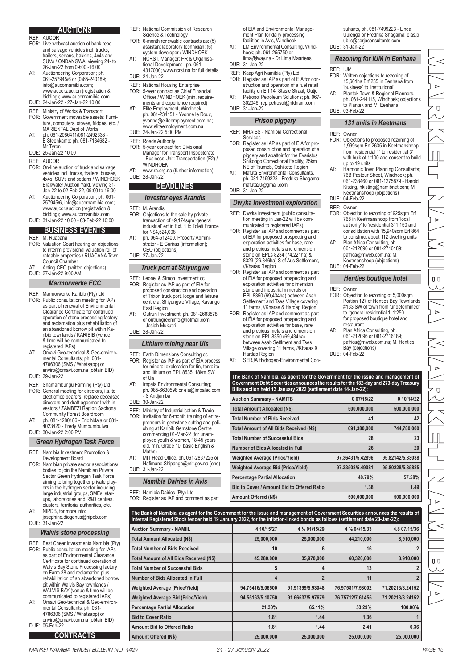## **AUCTIONS**

- REF: AUCOR FOR: Live webcast auction of bank repo and salvage vehicles incl. trucks, trailers, sedans, bakkies, 4x4s and SUVs / ONDANGWA, viewing 24- to 26-Jan-22 from 09:00 -16:00
- AT: Auctioneering Corporation; ph. 061-257945/6 or (0)65-240189; info@aucornamibia.com; www.aucor.auction (registration & bidding); www.aucornamibia.com
- DUE: 24-Jan-22 27-Jan-22 10:00
- REF: Ministry of Works & Transport
- FOR: Government moveable assets: Furni-ture, computers, stoves, fridges, etc. / MARIENTAL Dept of Works
- AT: ph. 061-2086411/081-2492338 E Steenkamp; ph. 081-7134682 Mr Tyron
- DUE: 25-Jan-22 10:00
- REF: AUCOR
- FOR: On-line auction of truck and salvage vehicles incl. trucks, trailers, busses, 4x4s, SUVs and sedans / WINDHOEK Brakwater Auction Yard, viewing 31- Jan-22 to 02-Feb-22, 09:00 to 16:00 AT: Auctioneering Corporation; ph. 061-
- 257945/6, info@aucornamibia.com; www.aucor.auction (registration & bidding); www.aucornamibia.com DUE: 31-Jan-22 10:00 - 03-Feb-22 10:00

## **BUSINESS EVENTS**

- REF: M. Ruacana
- FOR: Valuation Court hearing on objections to interim provisional valuation roll of rateable properties / RUACANA Town Council Chamber
- AT: Acting CEO (written objections)
- DUE: 27-Jan-22 9:00 AM

## *Marmorwerke ECC*

- REF: Marmorwerke Karibib (Pty) Ltd
- FOR: Public consultation meeting for IAPs as part of renewal of Environmental Clearance Certificate for continued operation of stone processing factory and reclamation plus rehabilitation of an abandoned borrow pit within Ka-ribib townlands / KARIBIB (venue & time will be communicated to registered IAPs)
- AT: Omavi Geo-technical & Geo-environmental Consultants; ph. 081- 4786306 (SMS / Whatsapp) or enviro@omavi.com.na (obtain BID)
- DUE: 29-Jan-22
- REF: Shamambungu Farming (Pty) Ltd FOR: General meeting for directors, i.a. to elect office bearers, replace deceased directors and draft ageement with in-vestors / ZAMBEZI Region Sachona Community Forest Boardroom
- AT: ph. 081-1280186 Eric Ndala or 081- 4023420 - Fredy Mumbumbulwa DUE: 30-Jan-22 2:00 PM

## *Green Hydrogen Task Force*

- REF: Namibia Investment Promotion & Development Board
- FOR: Namibian private sector associations/ bodies to join the Namibian Private Sector Green Hydrogen Task Force aiming to bring together private players in the hydrogen sector including large industrial groups, SMEs, star-ups, laboratories and R&D centres, clusters, territorial authorities, etc.
- AT: NIPDB, for more info: osephine.diogenus@nipdb.com DUE: 31-Jan-22

## *Walvis stone processing*

- REF: Best Cheer Investments Namibia (Pty) FOR: Public consultation meeting for IAPs as part of Environmental Clearance Certificate for continued operation of Walvis Bay Stone Processing factory on Farm 38 and reclamation plus rehabilitation of an abandoned borrow pit within Walvis Bay townlands / WALVIS BAY (venue & time will be communicated to registered IAPs)
- AT: Omavi Geo-technical & Geo-environ-mental Consultants; ph. 081- 4786306 (SMS / Whatsapp) or enviro@omavi.com.na (obtain BID)
- DUE: 05-Feb-22
	- **CONTRACTS**
- REF: National Commission of Research
- Science & Technology FOR: 6-month renewable contracts as: (5) assistant laboratory technician; (6)
- system developer / WINDHOEK AT: NCRST, Manager: HR & Organisational Development - ph. 061-
- 4317000; www.ncrst.na for full details DUE: 24-Jan-22
- REF: National Housing Enterprise<br>FOR: 5-year contract as Chief Fina FOR: 5-year contract as Chief Financial Officer / WINDHOEK (min. require-
- ments and experience required) AT: Elite Employment, Windhoek; ph. 061-234151 - Yvonne le Roux,
- yvonne@eliteemployment.com.na; www.eliteemployment.com.na DUE: 24-Jan-22 5:00 PM
- REF: Roads Authority<br>FOR: 5-year contract 5-year contract for: Divisional
	- Manager for Transport Inspectorate - Business Unit: Transportation (E2) / **WINDHOEK**
- AT: www.ra.org.na (further information) DUE: 28-Jan-22

## **DEADLINES**

## *Investor eyes Arandis*

- REF: M. Arandis<br>FOR: Objections Obiections to the sale by private transaction of 49,174sqm 'general industrial' erf in Ext. 1 to Tolefi France for N\$4,524,008
- AT: ph. 064-512400, Property Administrator - E Guriras (information); CEO (objections) DUE: 27-Jan-22
	- *Truck port at Shiyungwe*
- REF: Leonel & Simon Investment cc<br>FOR: Register as IAP as part of EIA Register as IAP as part of EIA for proposed construction and operation of Trixon truck port, lodge and leisure centre at Shiyungwe Village, Kavango East Region
- Outrun Investment, ph. 081-2683578 or outrungreeninfo@hotmail.com - Josiah Mukutiri

DUE: 28-Jan-22

## *Lithium mining near Uis*

- REF: Earth Dimensions Consulting cc FOR: Register as IAP as part of EIA process for mineral exploration for tin, tantalite and lithium on EPL 8535, 18km SW of Uis
- AT: Impala Environmental Consulting; ph. 085-6630598 or eia@impalac.com - S Andjamba

## DUE: 30-Jan-22

- REF: Ministry of Industrialisation & Trade FOR: Invitation for 6-month training of entrepreneurs in gemstone cutting and poli-shing at Karibib Gemstone Centre commencing 01-Mar-22 (for unemployed youth & women, 18-45 years old, min. Grade 10, basic English & Maths)
- AT: MIT Head Office, ph. 061-2837225 or Nafimane.Shipanga@mit.gov.na (enq) DUE: 31-Jan-22

## **Namibia Dairies in Avi**

- of EIA and Environmental Management Plan for dairy processing facilities in Avis, Windhoek
- AT: LM Environmental Consulting, Windhoek; ph. 061-255750 or lima@iway.na - Dr Lima Maartens
- DUE: 31-Jan-22
- REF: Kaap Agri Namibia (Pty) Ltd
- FOR: Register as IAP as part of EIA for con-struction and operation of a fuel retail facility on Erf 14, Stasie Straat, Outjo AT: Petrosol Petroleum Solutions; ph. 067- 302046, rep.petrosol@nfdnam.com
- DUE: 31-Jan-22

#### *Prison piggery*

- REF: MHAISS Namibia Correctional Services
- FOR: Register as IAP as part of EIA for proposed construction and operation of a piggery and abattoir for the Evaristus Shikongo Correctional Facility, 25km NE of Tsumeb, Oshikoto Region
- AT: Mafuta Environmental Consultants, ph. 081-7499223 Fredrika Shagama; mafuta20@gmail.com

## *Dwyka Investment exploration*

- REF: Dwyka Investment (public consulta-
- FOR: Register as IAP and comment as part of EIA for proposed prospecting and exploration activities for base, rare and precious metals and dimension stone on EPLs 8234 (74,221ha) & 8323 (26,846ha) S of Aus Settlement
- of EIA for proposed prospecting and exploration activities for dimension stone and industrial minerals on EPL 8350 (69,434ha) between Asab Settlement and Tses Village covering 11 farms, //Kharas & Hardap Region FOR: Register as IAP and comment as part of EIA for proposed prospecting and exploration activities for base, rare
- between Asab Settlment and Tses Village covering 11 farms, //Kharas & Hardap Region
- AT: SERJA Hydrogeo-Environmental Con-

| The Bank of Namibia, as agent for the Government for the issue and management of<br>Government Debt Securities announces the results for the 182-day and 273-day Treasury<br>Bills auction held 13 January 2022 (settlement date 14-Jan-22): |                  |                  |
|----------------------------------------------------------------------------------------------------------------------------------------------------------------------------------------------------------------------------------------------|------------------|------------------|
| <b>Auction Summary - NAMITB</b>                                                                                                                                                                                                              | 0 07/15/22       | 0 10/14/22       |
| Total Amount Allocated (N\$)                                                                                                                                                                                                                 | 500,000,000      | 500,000,000      |
| <b>Total Number of Bids Received</b>                                                                                                                                                                                                         | 41               | 42               |
| Total Amount of All Bids Received (N\$)                                                                                                                                                                                                      | 691.380.000      | 744.780.000      |
| <b>Total Number of Successful Bids</b>                                                                                                                                                                                                       | 28               | 23               |
| Number of Bids Allocated in Full                                                                                                                                                                                                             | 26               | 20               |
| <b>Weighted Average (Price/Yield)</b>                                                                                                                                                                                                        | 97.36431/5.42896 | 95.82142/5.83038 |
| <b>Weighted Average Bid (Price/Yield)</b>                                                                                                                                                                                                    | 97.33508/5.49081 | 95.80228/5.85825 |
| <b>Percentage Partial Allocation</b>                                                                                                                                                                                                         | 40.79%           | 57.58%           |
| Bid to Cover / Amount Bid to Offered Ratio                                                                                                                                                                                                   | 1.38             | 1.49             |
| Amount Offered (N\$)                                                                                                                                                                                                                         | 500.000.000      | 500.000.000      |

| The Bank of Namibia, as agent for the Government for the issue and management of Government Securities announces the results of<br>Internal Registered Stock tender held 19 January 2022, for the inflation-linked bonds as follows (settlement date 20-Jan-22): |                  |                  |                  |                  |
|------------------------------------------------------------------------------------------------------------------------------------------------------------------------------------------------------------------------------------------------------------------|------------------|------------------|------------------|------------------|
| <b>Auction Summary - NAMIIL</b>                                                                                                                                                                                                                                  | 4 10/15/27       | 4 % 01/15/29     | 4 % 04/15/33     | 4.8 07/15/36     |
| <b>Total Amount Allocated (N\$)</b>                                                                                                                                                                                                                              | 25,000,000       | 25,000,000       | 44,210,000       | 8,910,000        |
| <b>Total Number of Bids Received</b>                                                                                                                                                                                                                             | 10               | 6                | 16               |                  |
| <b>Total Amount of All Bids Received (N\$)</b>                                                                                                                                                                                                                   | 45,280,000       | 35,970,000       | 60,320,000       | 8,910,000        |
| <b>Total Number of Successful Bids</b>                                                                                                                                                                                                                           |                  |                  | 13               |                  |
| Number of Bids Allocated in Full                                                                                                                                                                                                                                 |                  |                  | 11               |                  |
| <b>Weighted Average (Price/Yield)</b>                                                                                                                                                                                                                            | 94.75416/5.06500 | 91.91399/5.93048 | 76.97581/7.58002 | 71.20213/8.24152 |
| <b>Weighted Average Bid (Price/Yield)</b>                                                                                                                                                                                                                        | 94.55163/5.10750 | 91.66537/5.97679 | 76.75712/7.61455 | 71.20213/8.24152 |
| <b>Percentage Partial Allocation</b>                                                                                                                                                                                                                             | 21.30%           | 65.11%           | 53.29%           | 100.00%          |
| <b>Bid to Cover Ratio</b>                                                                                                                                                                                                                                        | 1.81             | 1.44             | 1.36             |                  |
| <b>Amount Bid to Offered Ratio</b>                                                                                                                                                                                                                               | 1.81             | 1.44             | 2.41             | 0.36             |
| Amount Offered (N\$)                                                                                                                                                                                                                                             | 25,000,000       | 25,000,000       | 25,000,000       | 25,000,000       |

| Sector Green Hydrogen Task Force<br>aiming to bring together private play-                                                                   |                                                                                        | Namibia Dairies in Avis                                                                                                                                                                                                                                          | <b>Percentage Partial Allocation</b>       |                  | 40.79%<br>57.58% |                  |
|----------------------------------------------------------------------------------------------------------------------------------------------|----------------------------------------------------------------------------------------|------------------------------------------------------------------------------------------------------------------------------------------------------------------------------------------------------------------------------------------------------------------|--------------------------------------------|------------------|------------------|------------------|
|                                                                                                                                              | ers in the hydrogen sector including                                                   |                                                                                                                                                                                                                                                                  | Bid to Cover / Amount Bid to Offered Ratio |                  | 1.38             | 1.49             |
|                                                                                                                                              | large industrial groups, SMEs, star-<br>ups, laboratories and R&D centres,             | REF: Namibia Dairies (Pty) Ltd<br>FOR: Register as IAP and comment as part                                                                                                                                                                                       | Amount Offered (N\$)                       |                  | 500,000,000      | 500,000,000      |
| AT:<br>NIPDB, for more info:<br>DUE: 31-Jan-22                                                                                               | clusters, territorial authorities, etc.<br>josephine.diogenus@nipdb.com                | The Bank of Namibia, as agent for the Government for the issue and management of Government Securities announces the results of<br>Internal Registered Stock tender held 19 January 2022, for the inflation-linked bonds as follows (settlement date 20-Jan-22): |                                            |                  |                  |                  |
|                                                                                                                                              | <b>Walvis stone processing</b>                                                         | <b>Auction Summary - NAMIIL</b>                                                                                                                                                                                                                                  | 4 10/15/27                                 | 4 1/2 01/15/29   | 4 1/2 04/15/33   | 4.8 07/15/36     |
|                                                                                                                                              |                                                                                        | <b>Total Amount Allocated (N\$)</b>                                                                                                                                                                                                                              | 25,000,000                                 | 25,000,000       | 44,210,000       | 8,910,000        |
|                                                                                                                                              | REF: Best Cheer Investments Namibia (Pty)<br>FOR: Public consultation meeting for IAPs | <b>Total Number of Bids Received</b>                                                                                                                                                                                                                             | 10                                         |                  | 16               |                  |
|                                                                                                                                              | as part of Environmental Clearance<br>Certificate for continued operation of           | Total Amount of All Bids Received (N\$)                                                                                                                                                                                                                          | 45,280,000                                 | 35,970,000       | 60,320,000       | 8,910,000        |
|                                                                                                                                              | Walvis Bay Stone Processing factory                                                    | <b>Total Number of Successful Bids</b>                                                                                                                                                                                                                           |                                            |                  | 13               |                  |
|                                                                                                                                              | on Farm 38 and reclamation plus<br>rehabilitation of an abandoned borrow               | Number of Bids Allocated in Full                                                                                                                                                                                                                                 |                                            |                  | 11               |                  |
|                                                                                                                                              | pit within Walvis Bay townlands /<br>WALVIS BAY (venue & time will be                  | <b>Weighted Average (Price/Yield)</b>                                                                                                                                                                                                                            | 94.75416/5.06500                           | 91.91399/5.93048 | 76.97581/7.58002 | 71.20213/8.24152 |
|                                                                                                                                              | communicated to registered IAPs)                                                       | <b>Weighted Average Bid (Price/Yield)</b>                                                                                                                                                                                                                        | 94.55163/5.10750                           | 91.66537/5.97679 | 76.75712/7.61455 | 71.20213/8.24152 |
| AT:<br>Omavi Geo-technical & Geo-environ-<br>mental Consultants; ph. 081-<br>4786306 (SMS / Whatsapp) or<br>enviro@omavi.com.na (obtain BID) | <b>Percentage Partial Allocation</b>                                                   | 21.30%                                                                                                                                                                                                                                                           | 65.11%                                     | 53.29%           | 100.00%          |                  |
|                                                                                                                                              | <b>Bid to Cover Ratio</b>                                                              | 1.81                                                                                                                                                                                                                                                             | 1.44                                       | 1.36             |                  |                  |
| DUE: 05-Feb-22                                                                                                                               |                                                                                        | <b>Amount Bid to Offered Ratio</b>                                                                                                                                                                                                                               | 1.81                                       | 1.44             | 2.41             | 0.36             |
|                                                                                                                                              | <b>CONTRACTS</b>                                                                       | Amount Offered (N\$)                                                                                                                                                                                                                                             | 25,000,000                                 | 25,000,000       | 25,000,000       | 25,000,000       |

DUE: 04-Feb-22 REF: Owner

and precious metals and dimension stone on EPL 8350 (69,434ha)

- //Kharas Region FOR: Register as IAP and comment as part
- 

- DUE: 31-Jan-22
	- tion meeting in Jan-22 will be com-municated to registered IAPs)
	- -
	-

sultants, ph. 081-7499223 - Linda Uulenga or Fredrika Shagama; eias.p ublic@serjaconsultants.com DUE: 31-Jan-22

## *Rezoning for IUM in Eenhana* REF: IUM

- FOR: Written objections to rezoning of 15,661ha Erf 235 in Eenhana from 'business' to 'institutional'
- AT: Plantek Town & Regional Planners, ph. 061-244115, Windhoek; objections to Plantek and M. Eenhana DUE: 03-Feb-22

## *131 units in Keetmans*

REF: Owner

up to 19 units

DUE: 04-Feb-22 REF: Owner

restaurant

DUE: 04-Feb-22